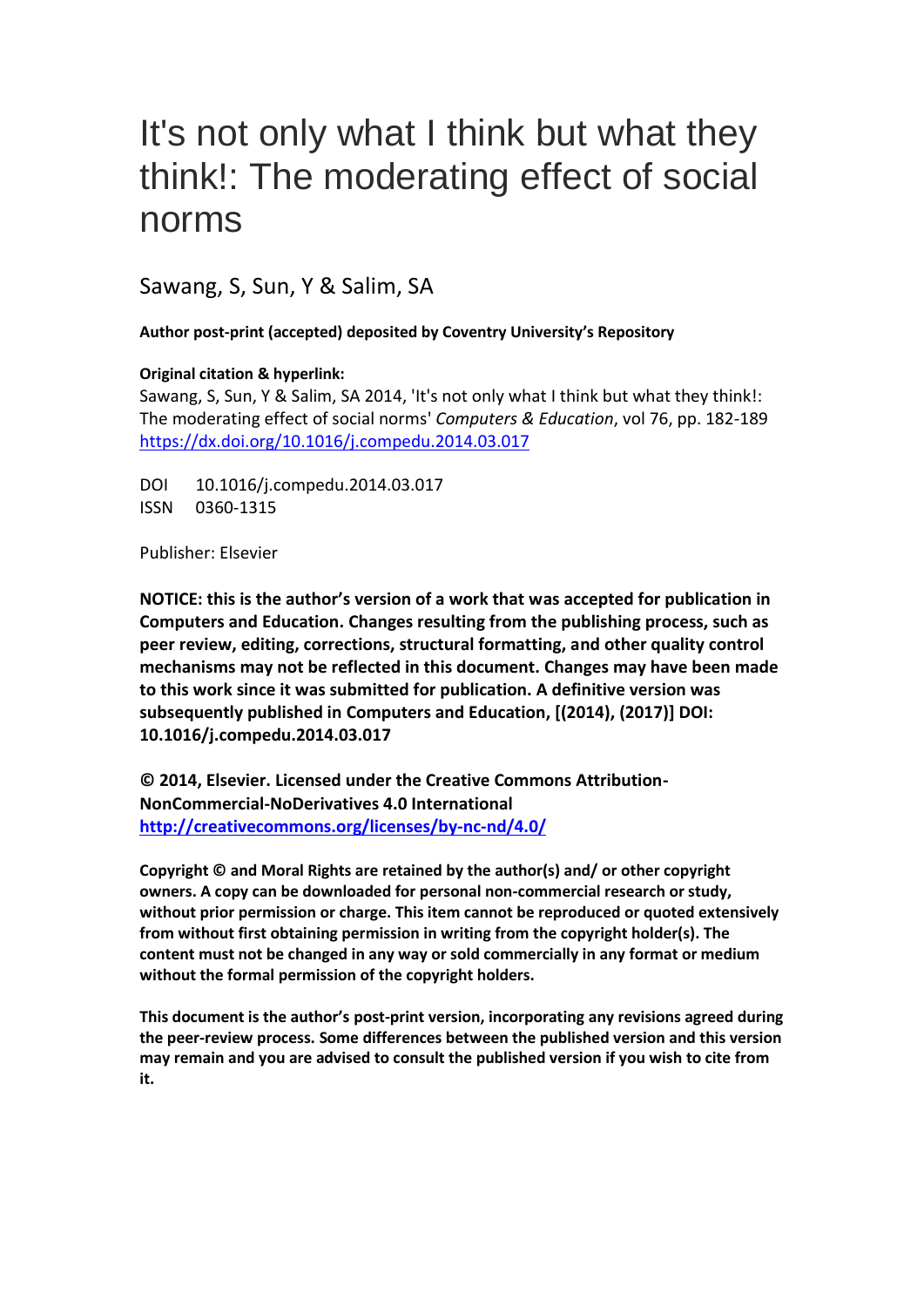# It's not only what I think but what they think!: The moderating effect of social norms

Sawang, S, Sun, Y & Salim, SA

**Author post-print (accepted) deposited by Coventry University's Repository**

## **Original citation & hyperlink:**

Sawang, S, Sun, Y & Salim, SA 2014, 'It's not only what I think but what they think!: The moderating effect of social norms' *Computers & Education*, vol 76, pp. 182-189 <https://dx.doi.org/10.1016/j.compedu.2014.03.017>

DOI 10.1016/j.compedu.2014.03.017 ISSN 0360-1315

Publisher: Elsevier

**NOTICE: this is the author's version of a work that was accepted for publication in Computers and Education. Changes resulting from the publishing process, such as peer review, editing, corrections, structural formatting, and other quality control mechanisms may not be reflected in this document. Changes may have been made to this work since it was submitted for publication. A definitive version was subsequently published in Computers and Education, [(2014), (2017)] DOI: 10.1016/j.compedu.2014.03.017**

**© 2014, Elsevier. Licensed under the Creative Commons Attribution-NonCommercial-NoDerivatives 4.0 International <http://creativecommons.org/licenses/by-nc-nd/4.0/>**

**Copyright © and Moral Rights are retained by the author(s) and/ or other copyright owners. A copy can be downloaded for personal non-commercial research or study, without prior permission or charge. This item cannot be reproduced or quoted extensively from without first obtaining permission in writing from the copyright holder(s). The content must not be changed in any way or sold commercially in any format or medium without the formal permission of the copyright holders.** 

**This document is the author's post-print version, incorporating any revisions agreed during the peer-review process. Some differences between the published version and this version may remain and you are advised to consult the published version if you wish to cite from it.**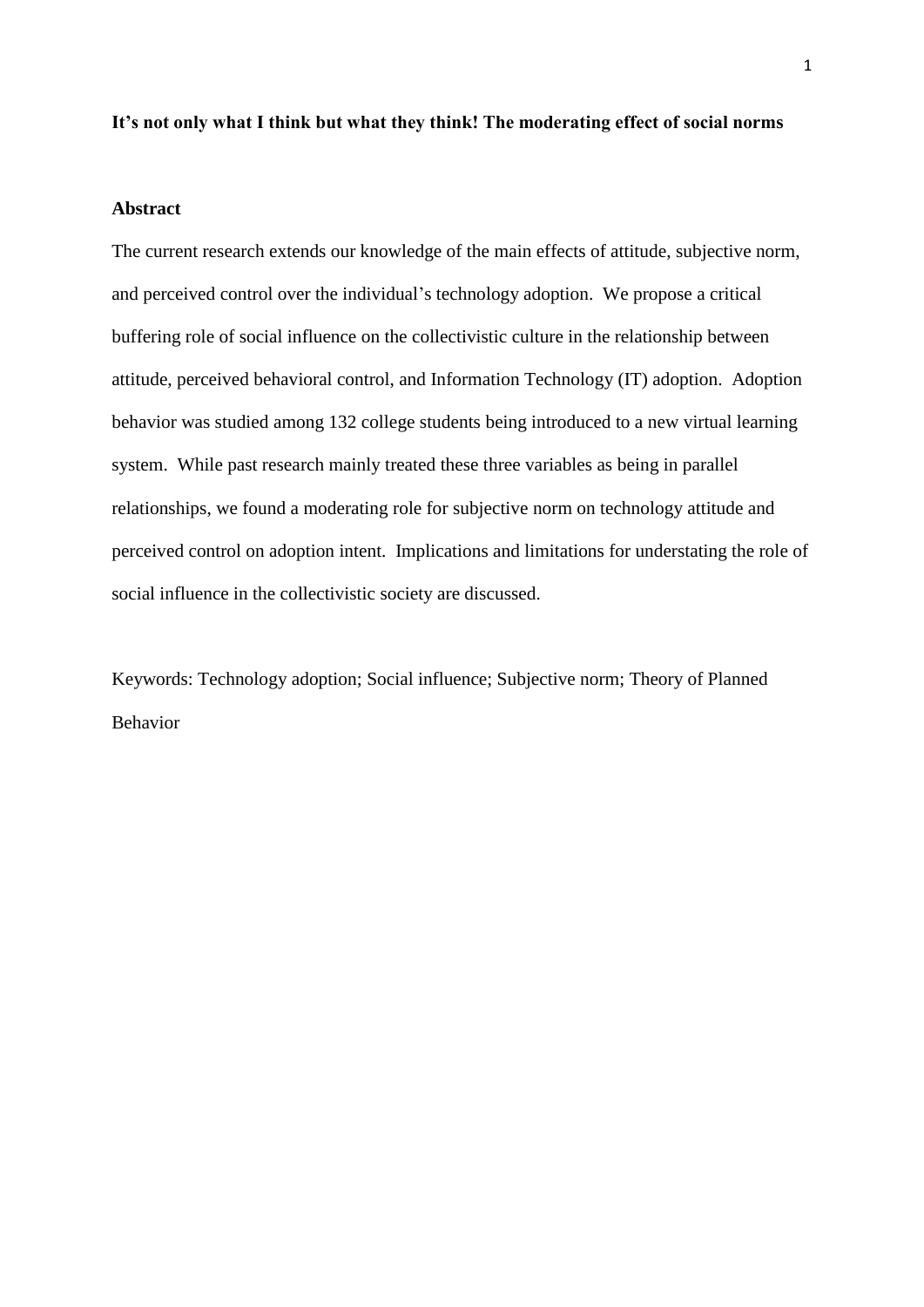#### **It's not only what I think but what they think! The moderating effect of social norms**

#### **Abstract**

The current research extends our knowledge of the main effects of attitude, subjective norm, and perceived control over the individual's technology adoption. We propose a critical buffering role of social influence on the collectivistic culture in the relationship between attitude, perceived behavioral control, and Information Technology (IT) adoption. Adoption behavior was studied among 132 college students being introduced to a new virtual learning system. While past research mainly treated these three variables as being in parallel relationships, we found a moderating role for subjective norm on technology attitude and perceived control on adoption intent. Implications and limitations for understating the role of social influence in the collectivistic society are discussed.

Keywords: Technology adoption; Social influence; Subjective norm; Theory of Planned Behavior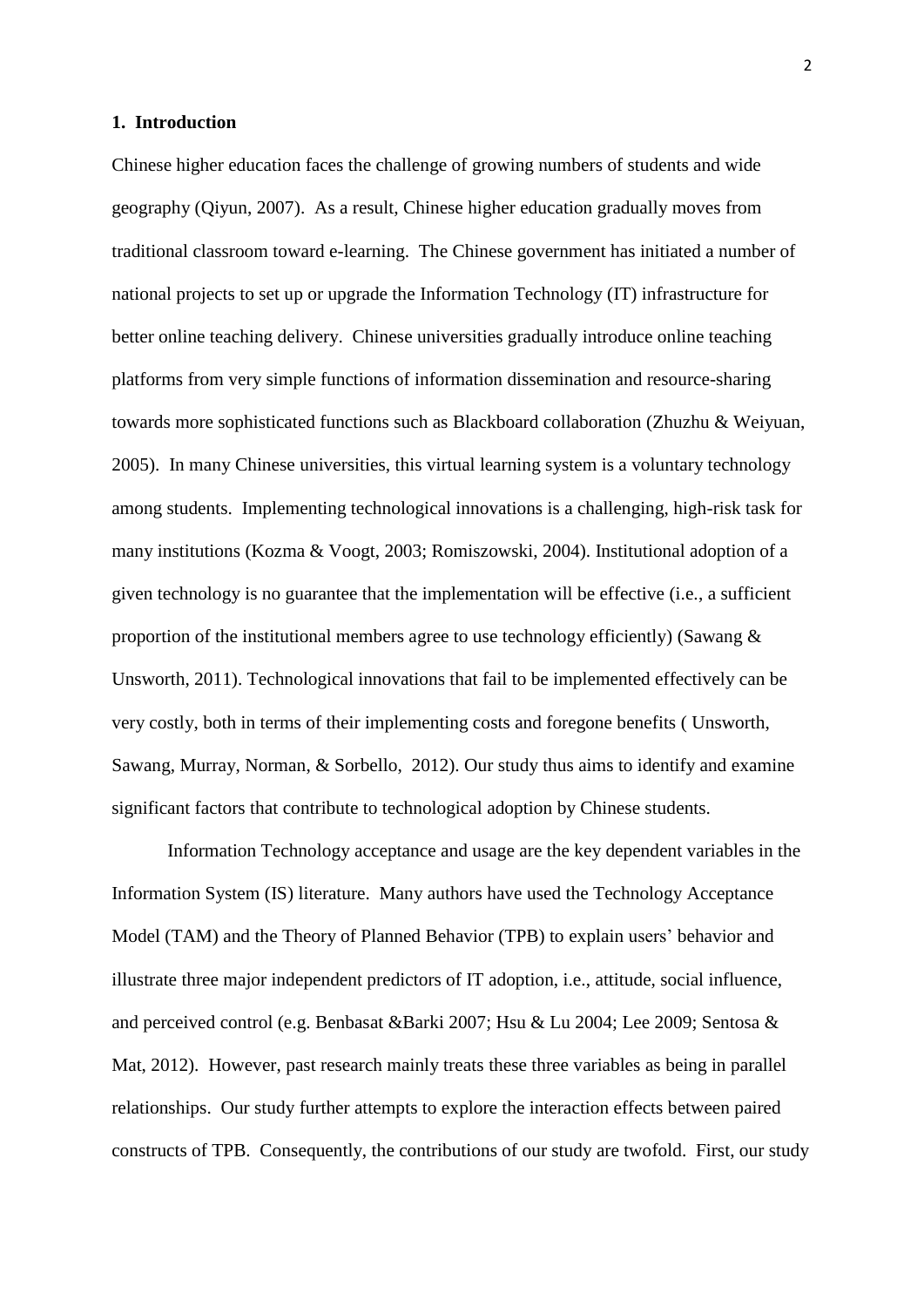#### **1. Introduction**

Chinese higher education faces the challenge of growing numbers of students and wide geography (Qiyun, 2007). As a result, Chinese higher education gradually moves from traditional classroom toward e-learning. The Chinese government has initiated a number of national projects to set up or upgrade the Information Technology (IT) infrastructure for better online teaching delivery. Chinese universities gradually introduce online teaching platforms from very simple functions of information dissemination and resource-sharing towards more sophisticated functions such as Blackboard collaboration (Zhuzhu & Weiyuan, 2005). In many Chinese universities, this virtual learning system is a voluntary technology among students. Implementing technological innovations is a challenging, high-risk task for many institutions (Kozma & Voogt, 2003; Romiszowski, 2004). Institutional adoption of a given technology is no guarantee that the implementation will be effective (i.e., a sufficient proportion of the institutional members agree to use technology efficiently) (Sawang  $\&$ Unsworth, 2011). Technological innovations that fail to be implemented effectively can be very costly, both in terms of their implementing costs and foregone benefits ( Unsworth, Sawang, Murray, Norman, & Sorbello, 2012). Our study thus aims to identify and examine significant factors that contribute to technological adoption by Chinese students.

Information Technology acceptance and usage are the key dependent variables in the Information System (IS) literature. Many authors have used the Technology Acceptance Model (TAM) and the Theory of Planned Behavior (TPB) to explain users' behavior and illustrate three major independent predictors of IT adoption, i.e., attitude, social influence, and perceived control (e.g. Benbasat &Barki 2007; Hsu & Lu 2004; Lee 2009; Sentosa & Mat, 2012). However, past research mainly treats these three variables as being in parallel relationships. Our study further attempts to explore the interaction effects between paired constructs of TPB. Consequently, the contributions of our study are twofold. First, our study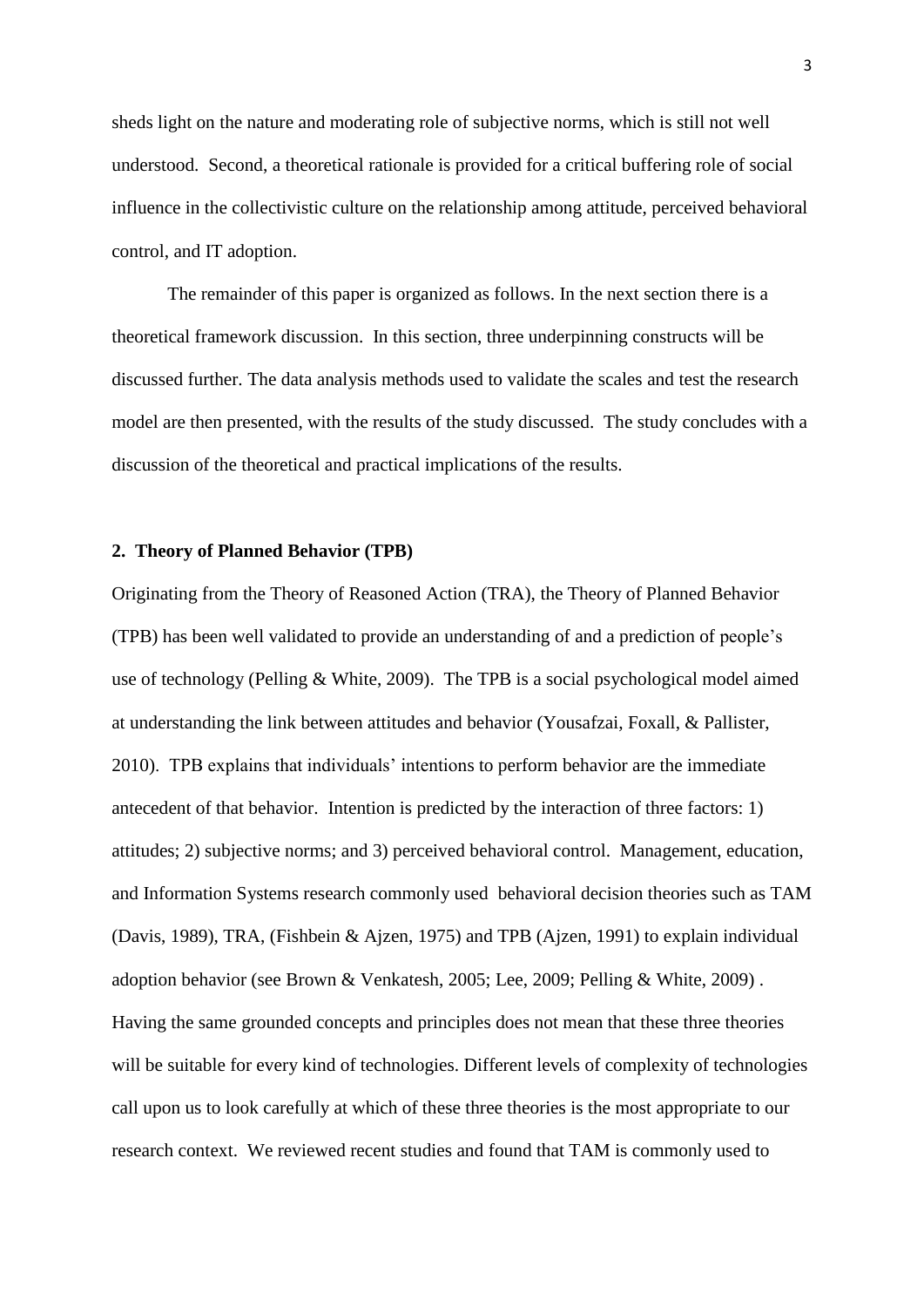sheds light on the nature and moderating role of subjective norms, which is still not well understood. Second, a theoretical rationale is provided for a critical buffering role of social influence in the collectivistic culture on the relationship among attitude, perceived behavioral control, and IT adoption.

The remainder of this paper is organized as follows. In the next section there is a theoretical framework discussion. In this section, three underpinning constructs will be discussed further. The data analysis methods used to validate the scales and test the research model are then presented, with the results of the study discussed. The study concludes with a discussion of the theoretical and practical implications of the results.

## **2. Theory of Planned Behavior (TPB)**

Originating from the Theory of Reasoned Action (TRA), the Theory of Planned Behavior (TPB) has been well validated to provide an understanding of and a prediction of people's use of technology (Pelling & White, 2009). The TPB is a social psychological model aimed at understanding the link between attitudes and behavior (Yousafzai, Foxall, & Pallister, 2010). TPB explains that individuals' intentions to perform behavior are the immediate antecedent of that behavior. Intention is predicted by the interaction of three factors: 1) attitudes; 2) subjective norms; and 3) perceived behavioral control. Management, education, and Information Systems research commonly used behavioral decision theories such as TAM (Davis, 1989), TRA, (Fishbein & Ajzen, 1975) and TPB (Ajzen, 1991) to explain individual adoption behavior (see Brown & Venkatesh, 2005; Lee, 2009; Pelling & White, 2009) . Having the same grounded concepts and principles does not mean that these three theories will be suitable for every kind of technologies. Different levels of complexity of technologies call upon us to look carefully at which of these three theories is the most appropriate to our research context. We reviewed recent studies and found that TAM is commonly used to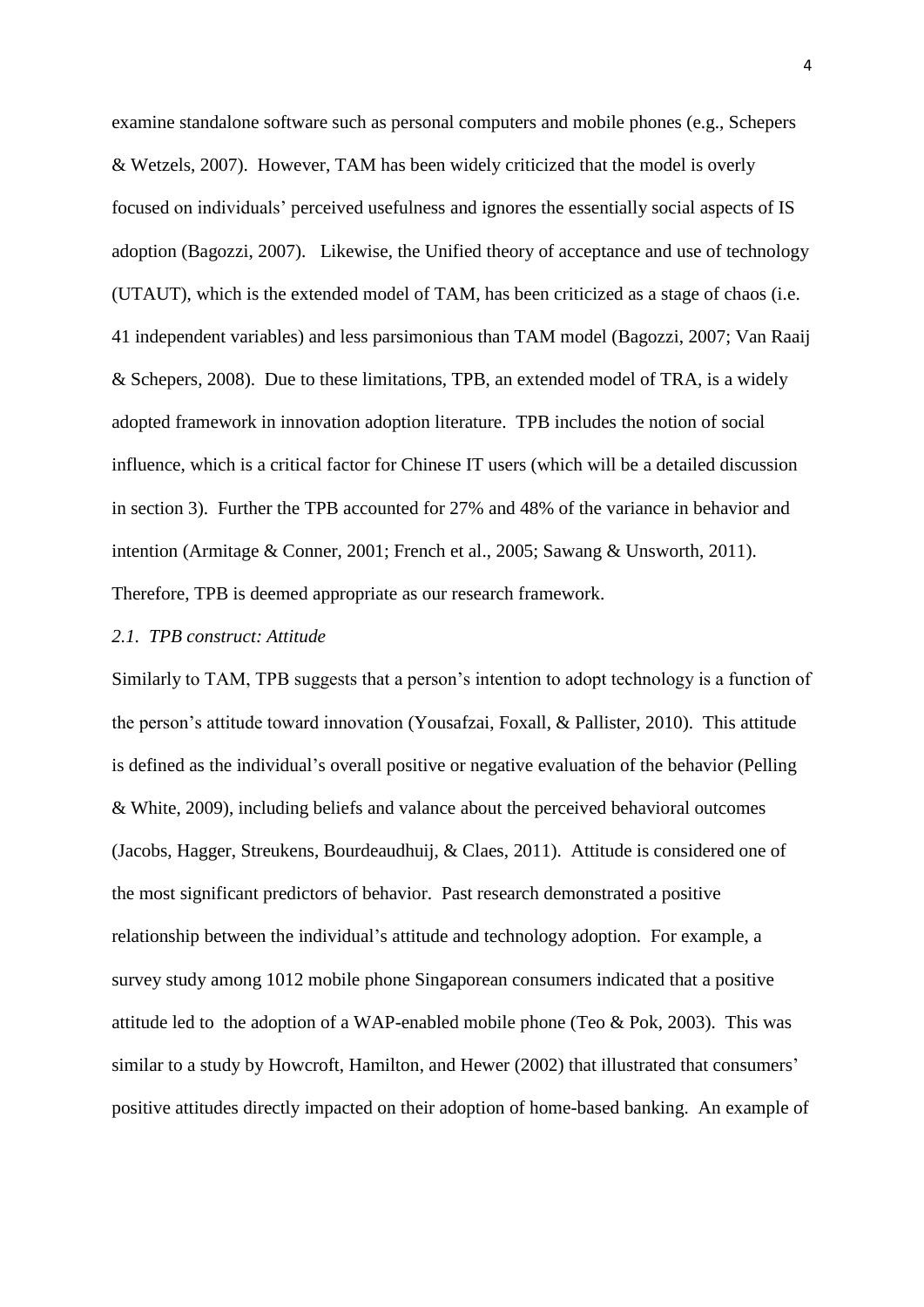examine standalone software such as personal computers and mobile phones (e.g., Schepers & Wetzels, 2007). However, TAM has been widely criticized that the model is overly focused on individuals' perceived usefulness and ignores the essentially social aspects of IS adoption (Bagozzi, 2007). Likewise, the Unified theory of acceptance and use of technology (UTAUT), which is the extended model of TAM, has been criticized as a stage of chaos (i.e. 41 independent variables) and less parsimonious than TAM model (Bagozzi, 2007; Van Raaij & Schepers, 2008). Due to these limitations, TPB, an extended model of TRA, is a widely adopted framework in innovation adoption literature. TPB includes the notion of social influence, which is a critical factor for Chinese IT users (which will be a detailed discussion in section 3). Further the TPB accounted for 27% and 48% of the variance in behavior and intention (Armitage & Conner, 2001; French et al., 2005; Sawang & Unsworth, 2011). Therefore, TPB is deemed appropriate as our research framework.

#### *2.1. TPB construct: Attitude*

Similarly to TAM, TPB suggests that a person's intention to adopt technology is a function of the person's attitude toward innovation (Yousafzai, Foxall, & Pallister, 2010). This attitude is defined as the individual's overall positive or negative evaluation of the behavior (Pelling & White, 2009), including beliefs and valance about the perceived behavioral outcomes (Jacobs, Hagger, Streukens, Bourdeaudhuij, & Claes, 2011). Attitude is considered one of the most significant predictors of behavior. Past research demonstrated a positive relationship between the individual's attitude and technology adoption. For example, a survey study among 1012 mobile phone Singaporean consumers indicated that a positive attitude led to the adoption of a WAP-enabled mobile phone (Teo  $& Pok$ , 2003). This was similar to a study by Howcroft, Hamilton, and Hewer (2002) that illustrated that consumers' positive attitudes directly impacted on their adoption of home-based banking. An example of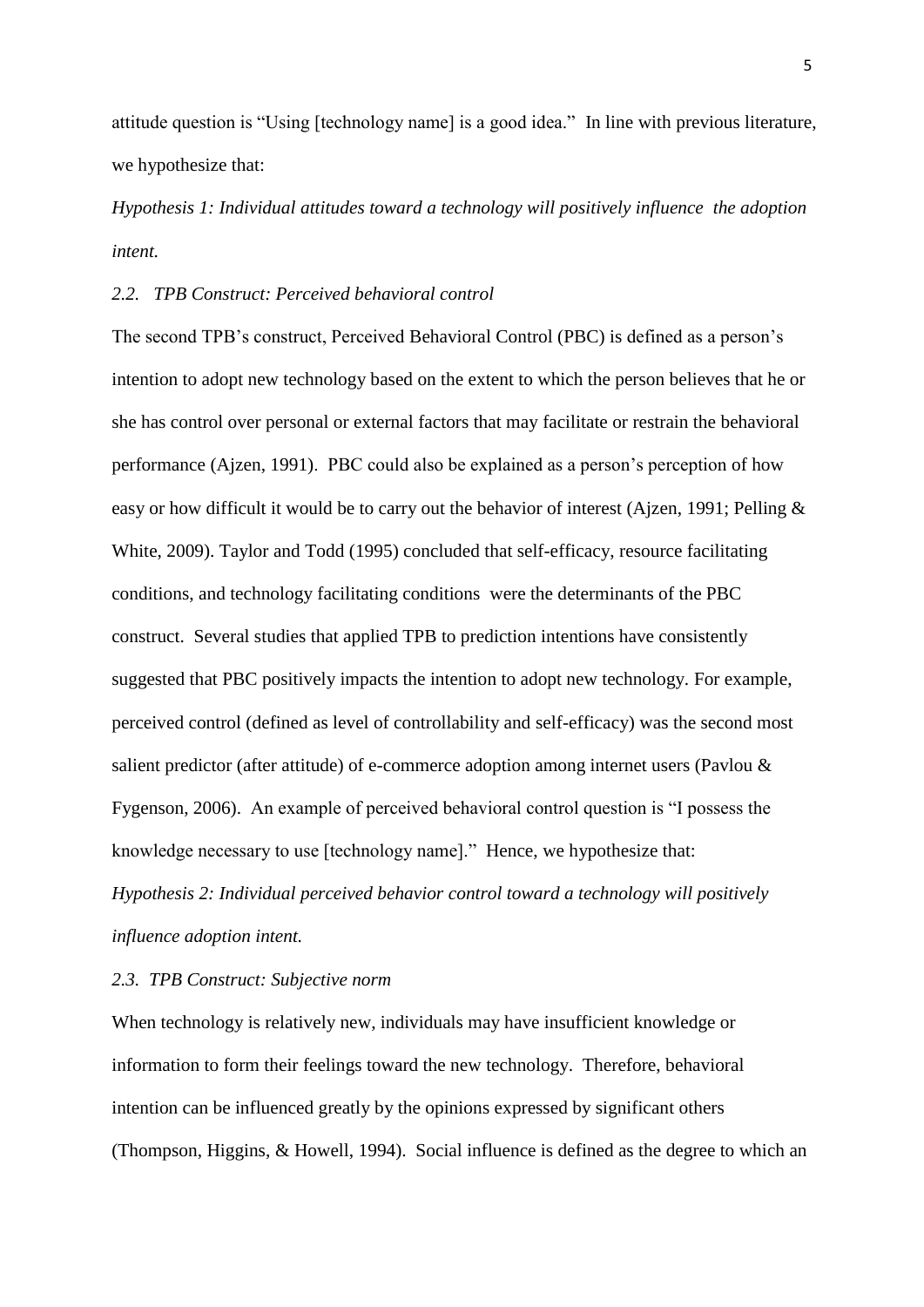attitude question is "Using [technology name] is a good idea." In line with previous literature, we hypothesize that:

*Hypothesis 1: Individual attitudes toward a technology will positively influence the adoption intent.*

#### *2.2. TPB Construct: Perceived behavioral control*

The second TPB's construct, Perceived Behavioral Control (PBC) is defined as a person's intention to adopt new technology based on the extent to which the person believes that he or she has control over personal or external factors that may facilitate or restrain the behavioral performance (Ajzen, 1991). PBC could also be explained as a person's perception of how easy or how difficult it would be to carry out the behavior of interest (Ajzen, 1991; Pelling & White, 2009). Taylor and Todd (1995) concluded that self-efficacy, resource facilitating conditions, and technology facilitating conditions were the determinants of the PBC construct. Several studies that applied TPB to prediction intentions have consistently suggested that PBC positively impacts the intention to adopt new technology. For example, perceived control (defined as level of controllability and self-efficacy) was the second most salient predictor (after attitude) of e-commerce adoption among internet users (Pavlou & Fygenson, 2006). An example of perceived behavioral control question is "I possess the knowledge necessary to use [technology name]." Hence, we hypothesize that: *Hypothesis 2: Individual perceived behavior control toward a technology will positively influence adoption intent.*

#### *2.3. TPB Construct: Subjective norm*

When technology is relatively new, individuals may have insufficient knowledge or information to form their feelings toward the new technology. Therefore, behavioral intention can be influenced greatly by the opinions expressed by significant others (Thompson, Higgins, & Howell, 1994). Social influence is defined as the degree to which an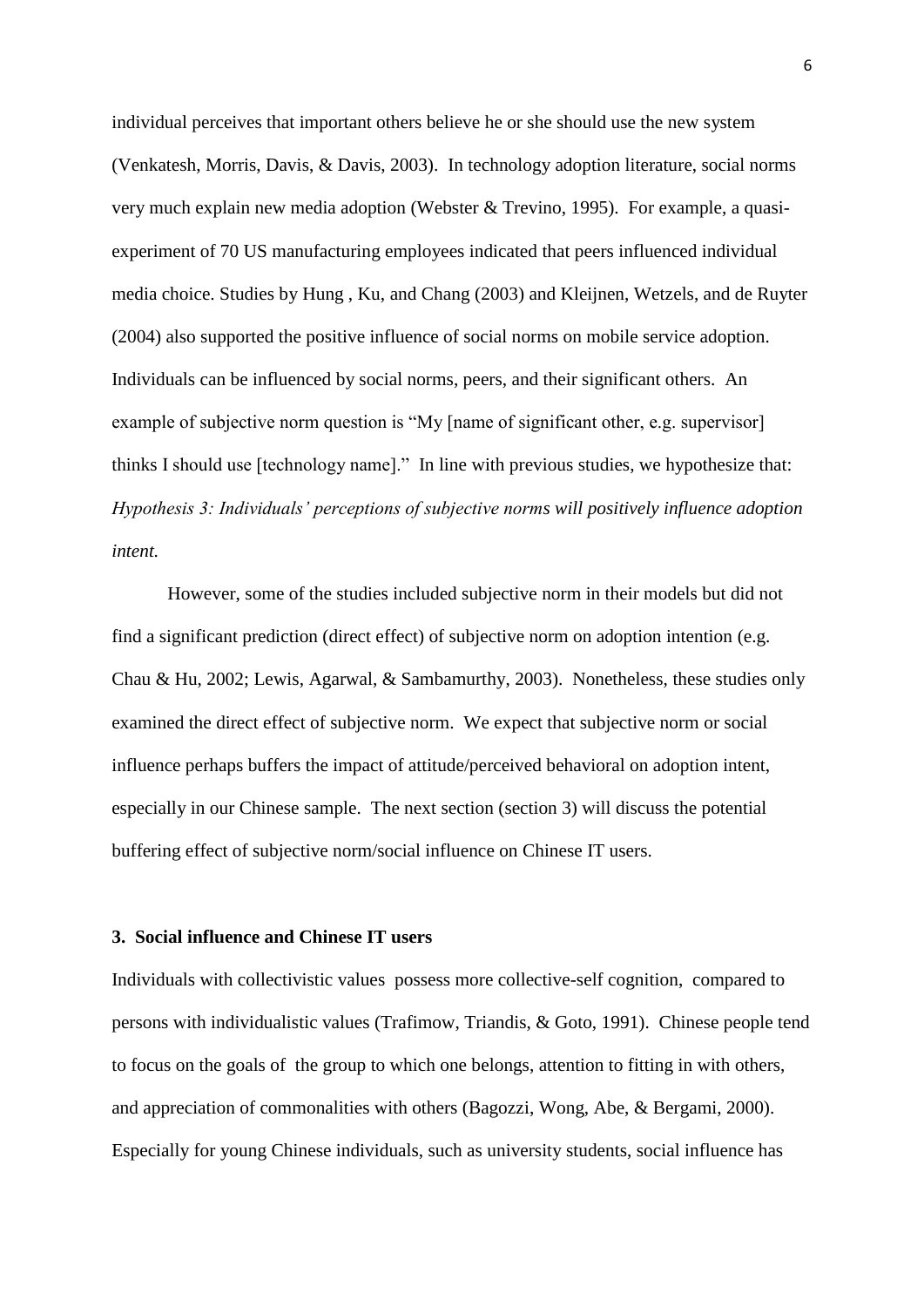individual perceives that important others believe he or she should use the new system (Venkatesh, Morris, Davis, & Davis, 2003). In technology adoption literature, social norms very much explain new media adoption (Webster & Trevino, 1995). For example, a quasiexperiment of 70 US manufacturing employees indicated that peers influenced individual media choice. Studies by Hung , Ku, and Chang (2003) and Kleijnen, Wetzels, and de Ruyter (2004) also supported the positive influence of social norms on mobile service adoption. Individuals can be influenced by social norms, peers, and their significant others. An example of subjective norm question is "My [name of significant other, e.g. supervisor] thinks I should use [technology name]." In line with previous studies, we hypothesize that: *Hypothesis 3: Individuals' perceptions of subjective norms will positively influence adoption intent.*

However, some of the studies included subjective norm in their models but did not find a significant prediction (direct effect) of subjective norm on adoption intention (e.g. Chau & Hu, 2002; Lewis, Agarwal, & Sambamurthy, 2003). Nonetheless, these studies only examined the direct effect of subjective norm. We expect that subjective norm or social influence perhaps buffers the impact of attitude/perceived behavioral on adoption intent, especially in our Chinese sample. The next section (section 3) will discuss the potential buffering effect of subjective norm/social influence on Chinese IT users.

#### **3. Social influence and Chinese IT users**

Individuals with collectivistic values possess more collective-self cognition, compared to persons with individualistic values (Trafimow, Triandis, & Goto, 1991). Chinese people tend to focus on the goals of the group to which one belongs, attention to fitting in with others, and appreciation of commonalities with others (Bagozzi, Wong, Abe, & Bergami, 2000). Especially for young Chinese individuals, such as university students, social influence has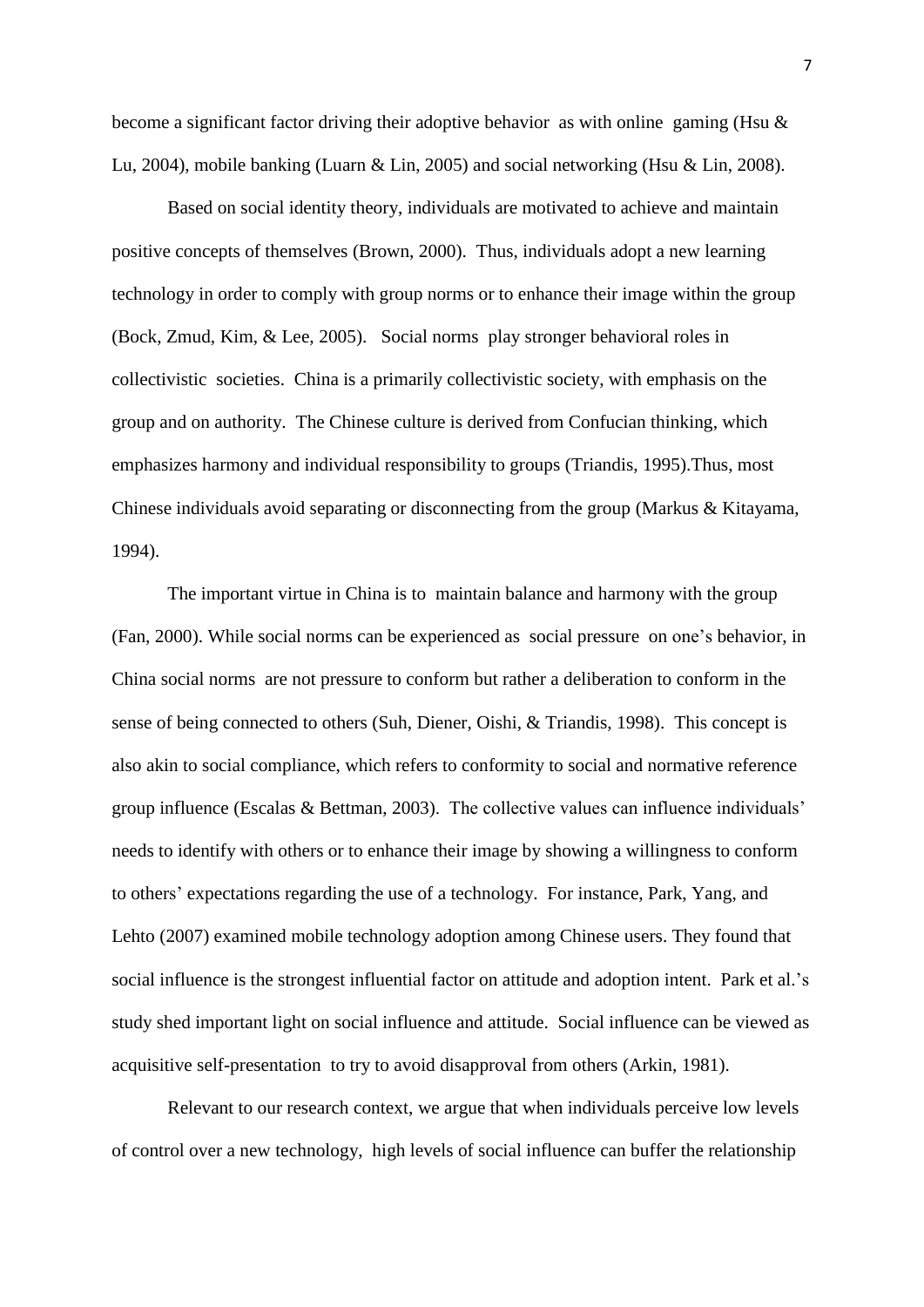become a significant factor driving their adoptive behavior as with online gaming (Hsu & Lu, 2004), mobile banking (Luarn & Lin, 2005) and social networking (Hsu & Lin, 2008).

Based on social identity theory, individuals are motivated to achieve and maintain positive concepts of themselves (Brown, 2000). Thus, individuals adopt a new learning technology in order to comply with group norms or to enhance their image within the group (Bock, Zmud, Kim, & Lee, 2005). Social norms play stronger behavioral roles in collectivistic societies. China is a primarily collectivistic society, with emphasis on the group and on authority. The Chinese culture is derived from Confucian thinking, which emphasizes harmony and individual responsibility to groups (Triandis, 1995).Thus, most Chinese individuals avoid separating or disconnecting from the group (Markus & Kitayama, 1994).

The important virtue in China is to maintain balance and harmony with the group (Fan, 2000). While social norms can be experienced as social pressure on one's behavior, in China social norms are not pressure to conform but rather a deliberation to conform in the sense of being connected to others (Suh, Diener, Oishi, & Triandis, 1998). This concept is also akin to social compliance, which refers to conformity to social and normative reference group influence (Escalas & Bettman, 2003). The collective values can influence individuals' needs to identify with others or to enhance their image by showing a willingness to conform to others' expectations regarding the use of a technology. For instance, Park, Yang, and Lehto (2007) examined mobile technology adoption among Chinese users. They found that social influence is the strongest influential factor on attitude and adoption intent. Park et al.'s study shed important light on social influence and attitude. Social influence can be viewed as acquisitive self-presentation to try to avoid disapproval from others (Arkin, 1981).

Relevant to our research context, we argue that when individuals perceive low levels of control over a new technology, high levels of social influence can buffer the relationship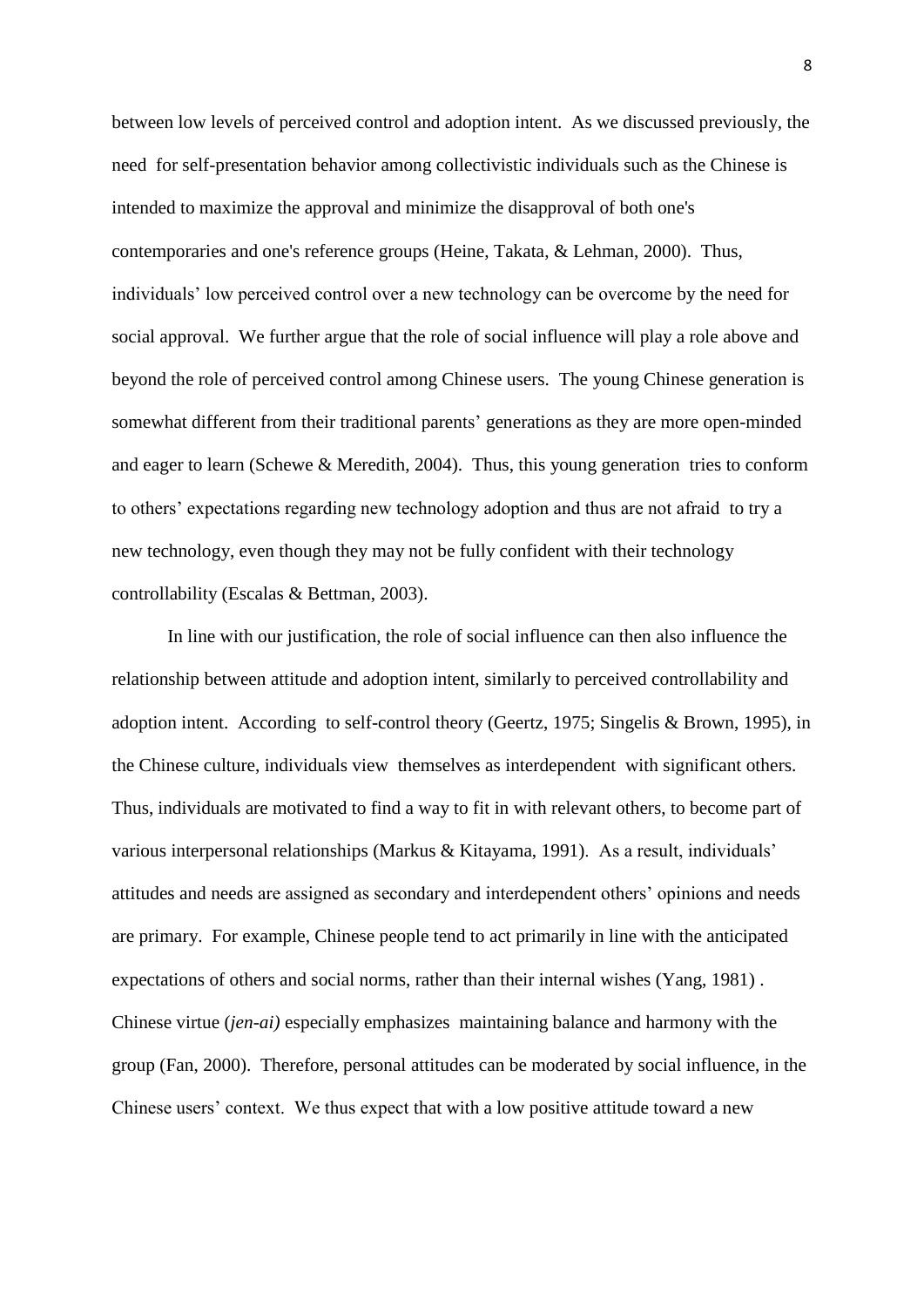between low levels of perceived control and adoption intent. As we discussed previously, the need for self-presentation behavior among collectivistic individuals such as the Chinese is intended to maximize the approval and minimize the disapproval of both one's contemporaries and one's reference groups (Heine, Takata, & Lehman, 2000). Thus, individuals' low perceived control over a new technology can be overcome by the need for social approval. We further argue that the role of social influence will play a role above and beyond the role of perceived control among Chinese users. The young Chinese generation is somewhat different from their traditional parents' generations as they are more open-minded and eager to learn (Schewe & Meredith, 2004). Thus, this young generation tries to conform to others' expectations regarding new technology adoption and thus are not afraid to try a new technology, even though they may not be fully confident with their technology controllability (Escalas & Bettman, 2003).

In line with our justification, the role of social influence can then also influence the relationship between attitude and adoption intent, similarly to perceived controllability and adoption intent. According to self-control theory (Geertz, 1975; Singelis & Brown, 1995), in the Chinese culture, individuals view themselves as interdependent with significant others. Thus, individuals are motivated to find a way to fit in with relevant others, to become part of various interpersonal relationships (Markus & Kitayama, 1991). As a result, individuals' attitudes and needs are assigned as secondary and interdependent others' opinions and needs are primary. For example, Chinese people tend to act primarily in line with the anticipated expectations of others and social norms, rather than their internal wishes (Yang, 1981) . Chinese virtue (*jen-ai)* especially emphasizes maintaining balance and harmony with the group (Fan, 2000). Therefore, personal attitudes can be moderated by social influence, in the Chinese users' context. We thus expect that with a low positive attitude toward a new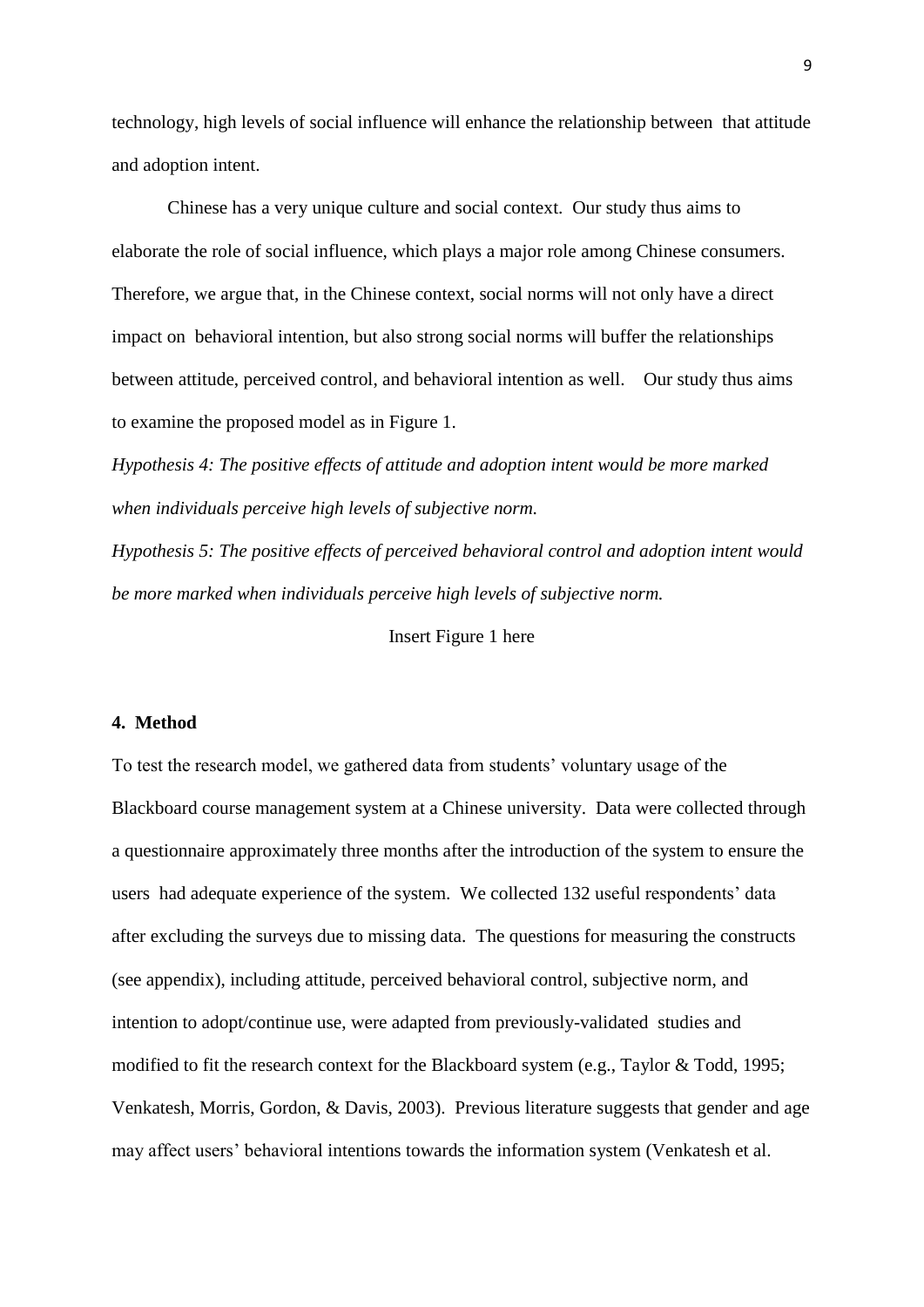technology, high levels of social influence will enhance the relationship between that attitude and adoption intent.

Chinese has a very unique culture and social context. Our study thus aims to elaborate the role of social influence, which plays a major role among Chinese consumers. Therefore, we argue that, in the Chinese context, social norms will not only have a direct impact on behavioral intention, but also strong social norms will buffer the relationships between attitude, perceived control, and behavioral intention as well. Our study thus aims to examine the proposed model as in Figure 1.

*Hypothesis 4: The positive effects of attitude and adoption intent would be more marked when individuals perceive high levels of subjective norm.*

*Hypothesis 5: The positive effects of perceived behavioral control and adoption intent would be more marked when individuals perceive high levels of subjective norm.*

Insert Figure 1 here

#### **4. Method**

To test the research model, we gathered data from students' voluntary usage of the Blackboard course management system at a Chinese university. Data were collected through a questionnaire approximately three months after the introduction of the system to ensure the users had adequate experience of the system. We collected 132 useful respondents' data after excluding the surveys due to missing data. The questions for measuring the constructs (see appendix), including attitude, perceived behavioral control, subjective norm, and intention to adopt/continue use, were adapted from previously-validated studies and modified to fit the research context for the Blackboard system (e.g., Taylor & Todd, 1995; Venkatesh, Morris, Gordon, & Davis, 2003). Previous literature suggests that gender and age may affect users' behavioral intentions towards the information system (Venkatesh et al.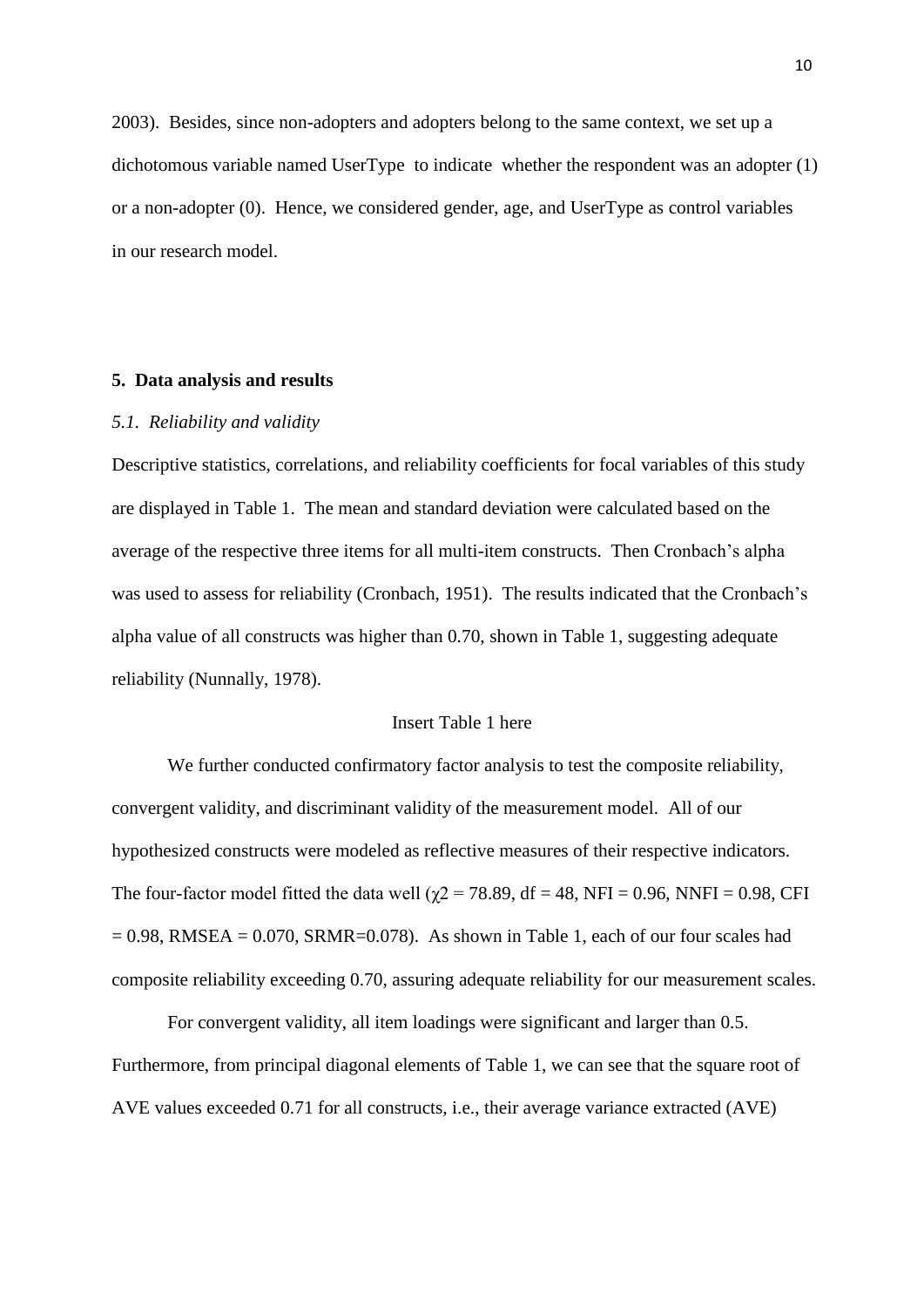2003). Besides, since non-adopters and adopters belong to the same context, we set up a dichotomous variable named UserType to indicate whether the respondent was an adopter (1) or a non-adopter (0). Hence, we considered gender, age, and UserType as control variables in our research model.

#### **5. Data analysis and results**

#### *5.1. Reliability and validity*

Descriptive statistics, correlations, and reliability coefficients for focal variables of this study are displayed in Table 1. The mean and standard deviation were calculated based on the average of the respective three items for all multi-item constructs. Then Cronbach's alpha was used to assess for reliability (Cronbach, 1951). The results indicated that the Cronbach's alpha value of all constructs was higher than 0.70, shown in Table 1, suggesting adequate reliability (Nunnally, 1978).

## Insert Table 1 here

We further conducted confirmatory factor analysis to test the composite reliability, convergent validity, and discriminant validity of the measurement model. All of our hypothesized constructs were modeled as reflective measures of their respective indicators. The four-factor model fitted the data well ( $\chi$ 2 = 78.89, df = 48, NFI = 0.96, NNFI = 0.98, CFI  $= 0.98$ , RMSEA  $= 0.070$ , SRMR=0.078). As shown in Table 1, each of our four scales had composite reliability exceeding 0.70, assuring adequate reliability for our measurement scales.

For convergent validity, all item loadings were significant and larger than 0.5. Furthermore, from principal diagonal elements of Table 1, we can see that the square root of AVE values exceeded 0.71 for all constructs, i.e., their average variance extracted (AVE)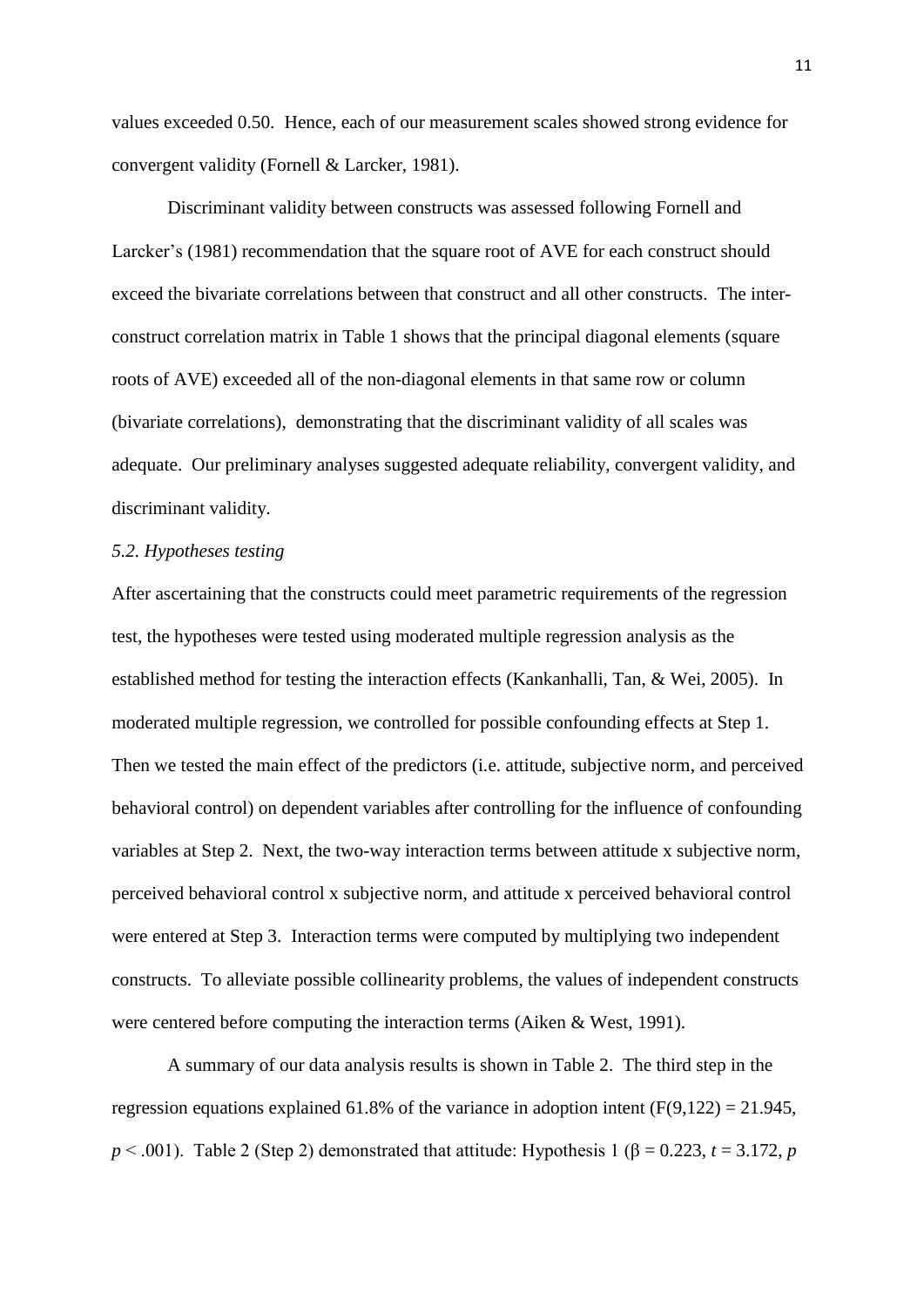values exceeded 0.50. Hence, each of our measurement scales showed strong evidence for convergent validity (Fornell & Larcker, 1981).

Discriminant validity between constructs was assessed following Fornell and Larcker's (1981) recommendation that the square root of AVE for each construct should exceed the bivariate correlations between that construct and all other constructs. The interconstruct correlation matrix in Table 1 shows that the principal diagonal elements (square roots of AVE) exceeded all of the non-diagonal elements in that same row or column (bivariate correlations), demonstrating that the discriminant validity of all scales was adequate. Our preliminary analyses suggested adequate reliability, convergent validity, and discriminant validity.

## *5.2. Hypotheses testing*

After ascertaining that the constructs could meet parametric requirements of the regression test, the hypotheses were tested using moderated multiple regression analysis as the established method for testing the interaction effects (Kankanhalli, Tan, & Wei, 2005). In moderated multiple regression, we controlled for possible confounding effects at Step 1. Then we tested the main effect of the predictors (i.e. attitude, subjective norm, and perceived behavioral control) on dependent variables after controlling for the influence of confounding variables at Step 2. Next, the two-way interaction terms between attitude x subjective norm, perceived behavioral control x subjective norm, and attitude x perceived behavioral control were entered at Step 3. Interaction terms were computed by multiplying two independent constructs. To alleviate possible collinearity problems, the values of independent constructs were centered before computing the interaction terms (Aiken & West, 1991).

A summary of our data analysis results is shown in Table 2. The third step in the regression equations explained 61.8% of the variance in adoption intent  $(F(9,122) = 21.945)$ ,  $p < .001$ ). Table 2 (Step 2) demonstrated that attitude: Hypothesis 1 ( $\beta = 0.223$ ,  $t = 3.172$ , *p*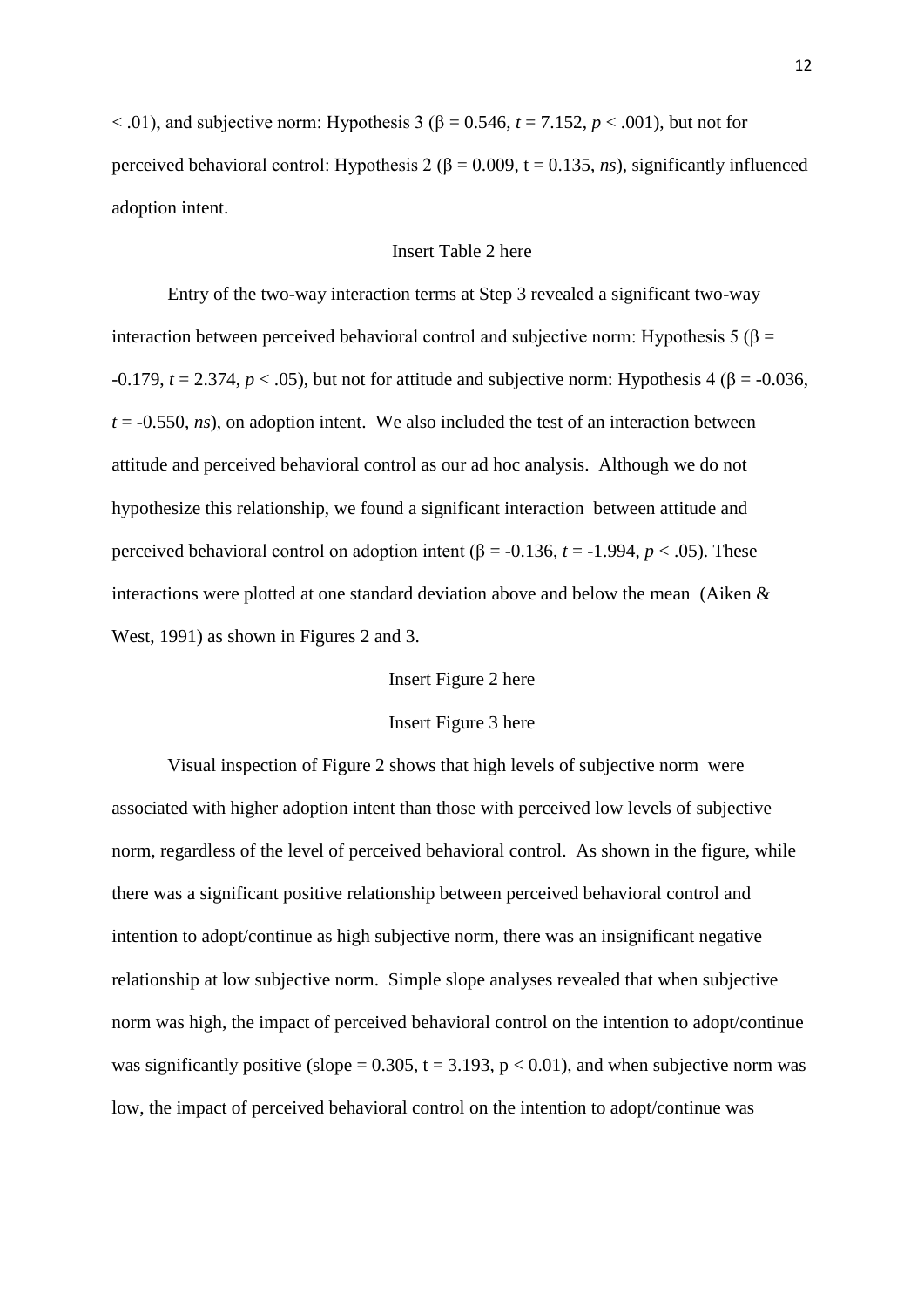$<$  0.01), and subjective norm: Hypothesis 3 ( $\beta$  = 0.546,  $t$  = 7.152,  $p$  < 0.01), but not for perceived behavioral control: Hypothesis 2 (β = 0.009, t = 0.135, *ns*), significantly influenced adoption intent.

## Insert Table 2 here

Entry of the two-way interaction terms at Step 3 revealed a significant two-way interaction between perceived behavioral control and subjective norm: Hypothesis 5 (β =  $-0.179$ ,  $t = 2.374$ ,  $p < .05$ ), but not for attitude and subjective norm: Hypothesis 4 ( $\beta = -0.036$ ,  $t = -0.550$ , *ns*), on adoption intent. We also included the test of an interaction between attitude and perceived behavioral control as our ad hoc analysis. Although we do not hypothesize this relationship, we found a significant interaction between attitude and perceived behavioral control on adoption intent (β = -0.136, *t* = -1.994, *p* < .05). These interactions were plotted at one standard deviation above and below the mean (Aiken & West, 1991) as shown in Figures 2 and 3.

## Insert Figure 2 here

#### Insert Figure 3 here

Visual inspection of Figure 2 shows that high levels of subjective norm were associated with higher adoption intent than those with perceived low levels of subjective norm, regardless of the level of perceived behavioral control. As shown in the figure, while there was a significant positive relationship between perceived behavioral control and intention to adopt/continue as high subjective norm, there was an insignificant negative relationship at low subjective norm. Simple slope analyses revealed that when subjective norm was high, the impact of perceived behavioral control on the intention to adopt/continue was significantly positive (slope =  $0.305$ , t =  $3.193$ , p <  $0.01$ ), and when subjective norm was low, the impact of perceived behavioral control on the intention to adopt/continue was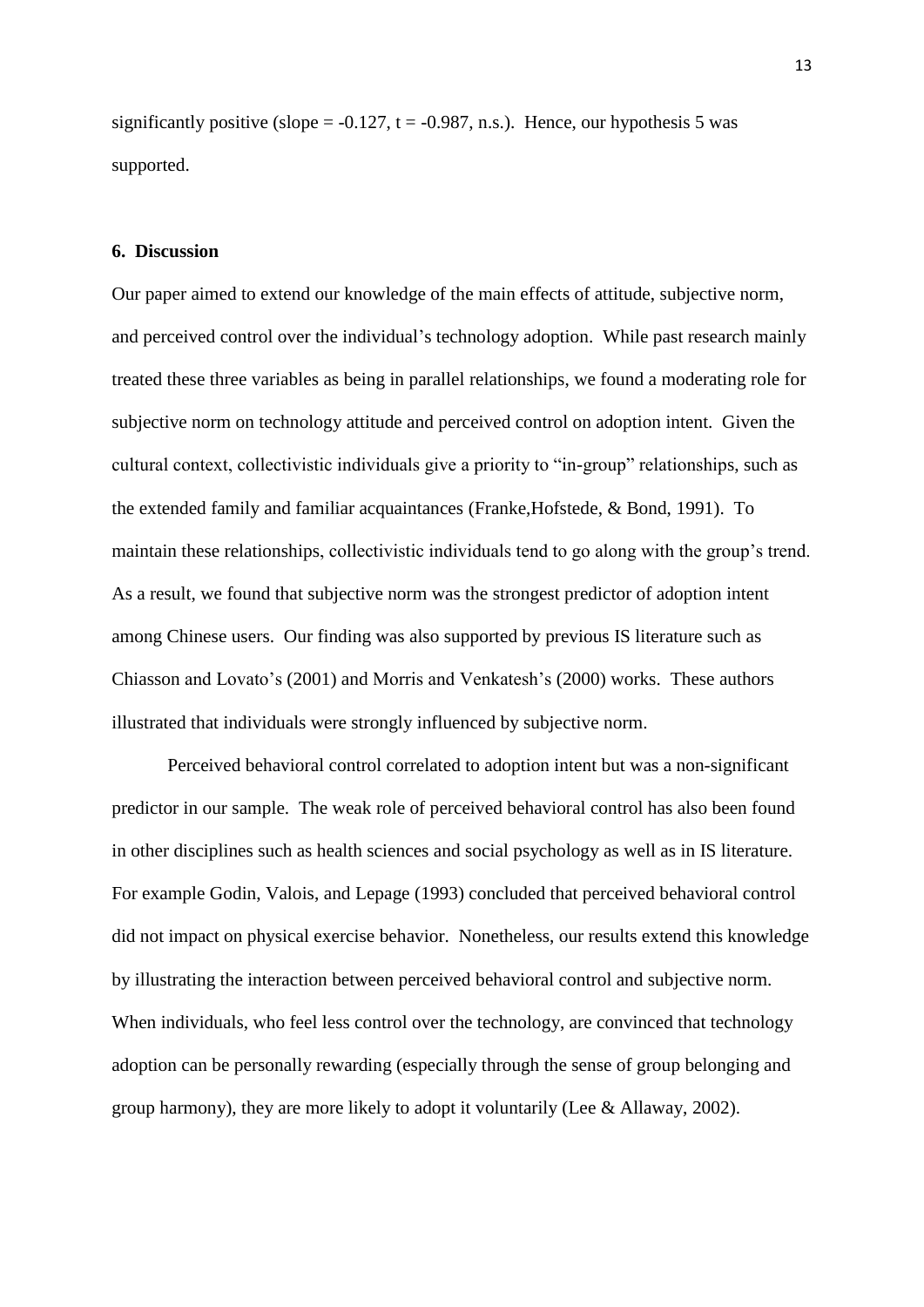significantly positive (slope =  $-0.127$ , t =  $-0.987$ , n.s.). Hence, our hypothesis 5 was supported.

## **6. Discussion**

Our paper aimed to extend our knowledge of the main effects of attitude, subjective norm, and perceived control over the individual's technology adoption. While past research mainly treated these three variables as being in parallel relationships, we found a moderating role for subjective norm on technology attitude and perceived control on adoption intent. Given the cultural context, collectivistic individuals give a priority to "in-group" relationships, such as the extended family and familiar acquaintances (Franke,Hofstede, & Bond, 1991). To maintain these relationships, collectivistic individuals tend to go along with the group's trend. As a result, we found that subjective norm was the strongest predictor of adoption intent among Chinese users. Our finding was also supported by previous IS literature such as Chiasson and Lovato's (2001) and Morris and Venkatesh's (2000) works. These authors illustrated that individuals were strongly influenced by subjective norm.

Perceived behavioral control correlated to adoption intent but was a non-significant predictor in our sample. The weak role of perceived behavioral control has also been found in other disciplines such as health sciences and social psychology as well as in IS literature. For example Godin, Valois, and Lepage (1993) concluded that perceived behavioral control did not impact on physical exercise behavior. Nonetheless, our results extend this knowledge by illustrating the interaction between perceived behavioral control and subjective norm. When individuals, who feel less control over the technology, are convinced that technology adoption can be personally rewarding (especially through the sense of group belonging and group harmony), they are more likely to adopt it voluntarily (Lee & Allaway, 2002).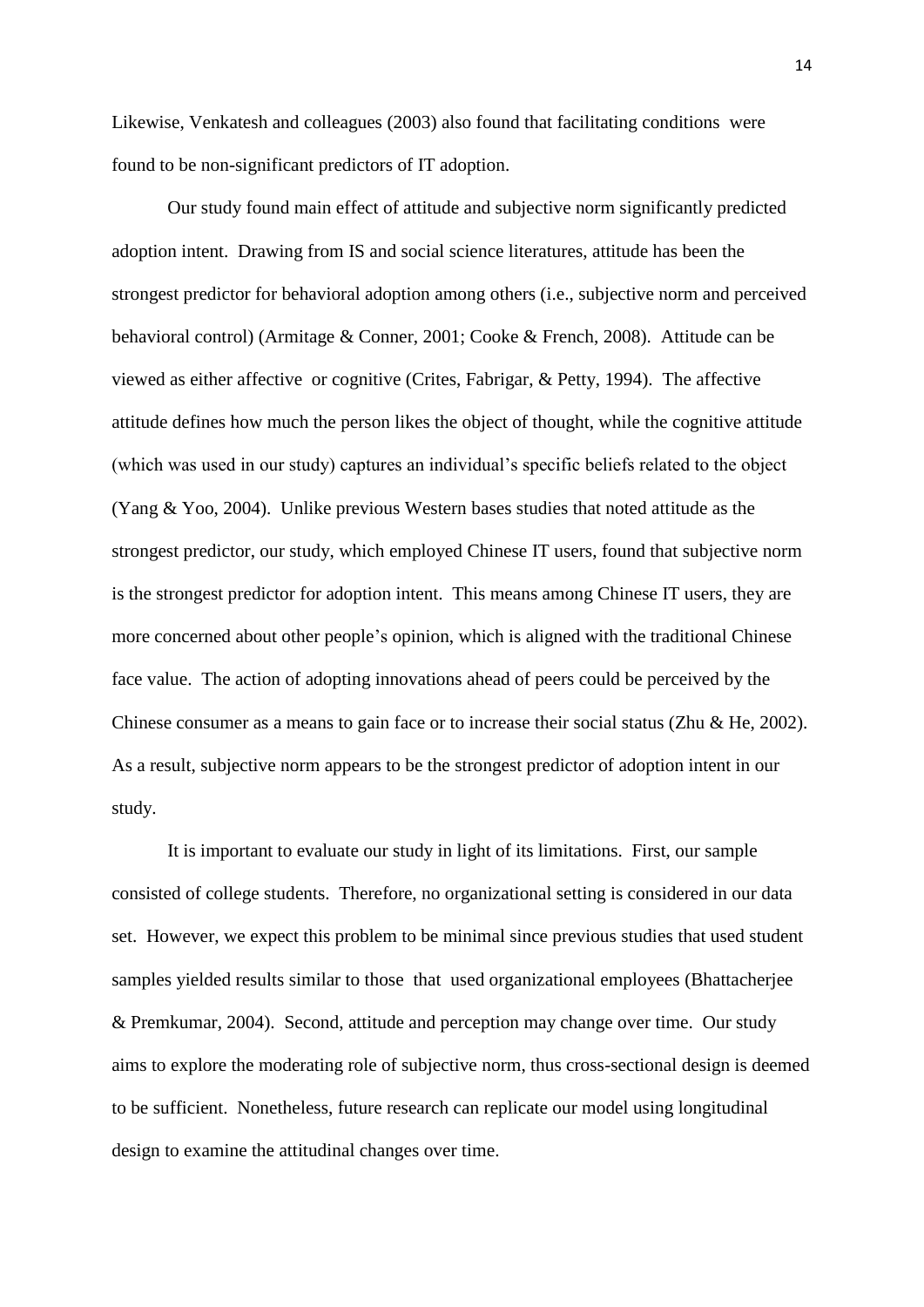Likewise, Venkatesh and colleagues (2003) also found that facilitating conditions were found to be non-significant predictors of IT adoption.

Our study found main effect of attitude and subjective norm significantly predicted adoption intent. Drawing from IS and social science literatures, attitude has been the strongest predictor for behavioral adoption among others (i.e., subjective norm and perceived behavioral control) (Armitage & Conner, 2001; Cooke & French, 2008). Attitude can be viewed as either affective or cognitive (Crites, Fabrigar, & Petty, 1994). The affective attitude defines how much the person likes the object of thought, while the cognitive attitude (which was used in our study) captures an individual's specific beliefs related to the object (Yang & Yoo, 2004). Unlike previous Western bases studies that noted attitude as the strongest predictor, our study, which employed Chinese IT users, found that subjective norm is the strongest predictor for adoption intent. This means among Chinese IT users, they are more concerned about other people's opinion, which is aligned with the traditional Chinese face value. The action of adopting innovations ahead of peers could be perceived by the Chinese consumer as a means to gain face or to increase their social status (Zhu & He, 2002). As a result, subjective norm appears to be the strongest predictor of adoption intent in our study.

It is important to evaluate our study in light of its limitations. First, our sample consisted of college students. Therefore, no organizational setting is considered in our data set. However, we expect this problem to be minimal since previous studies that used student samples yielded results similar to those that used organizational employees (Bhattacherjee & Premkumar, 2004). Second, attitude and perception may change over time. Our study aims to explore the moderating role of subjective norm, thus cross-sectional design is deemed to be sufficient. Nonetheless, future research can replicate our model using longitudinal design to examine the attitudinal changes over time.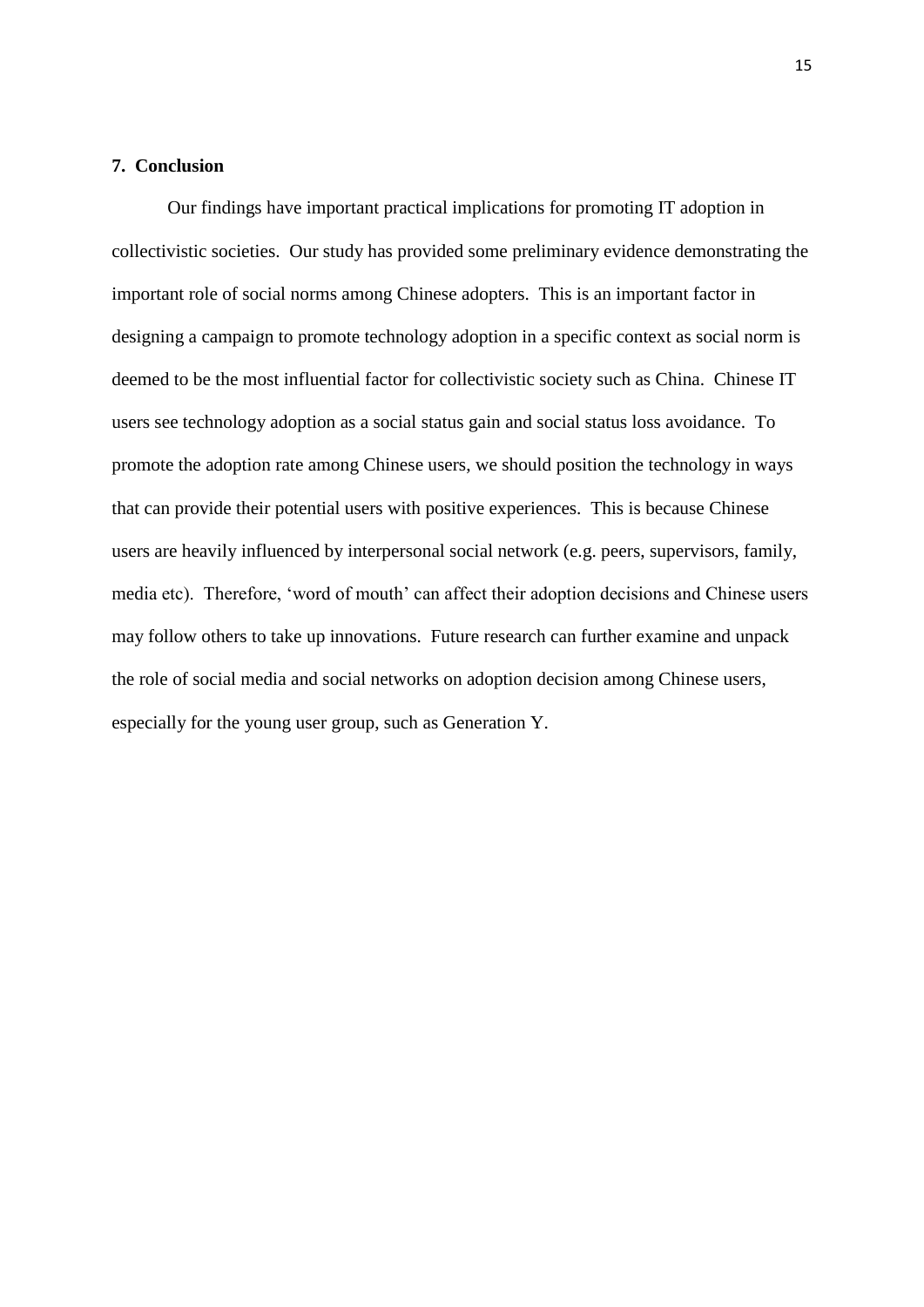## **7. Conclusion**

Our findings have important practical implications for promoting IT adoption in collectivistic societies. Our study has provided some preliminary evidence demonstrating the important role of social norms among Chinese adopters. This is an important factor in designing a campaign to promote technology adoption in a specific context as social norm is deemed to be the most influential factor for collectivistic society such as China. Chinese IT users see technology adoption as a social status gain and social status loss avoidance. To promote the adoption rate among Chinese users, we should position the technology in ways that can provide their potential users with positive experiences. This is because Chinese users are heavily influenced by interpersonal social network (e.g. peers, supervisors, family, media etc). Therefore, 'word of mouth' can affect their adoption decisions and Chinese users may follow others to take up innovations. Future research can further examine and unpack the role of social media and social networks on adoption decision among Chinese users, especially for the young user group, such as Generation Y.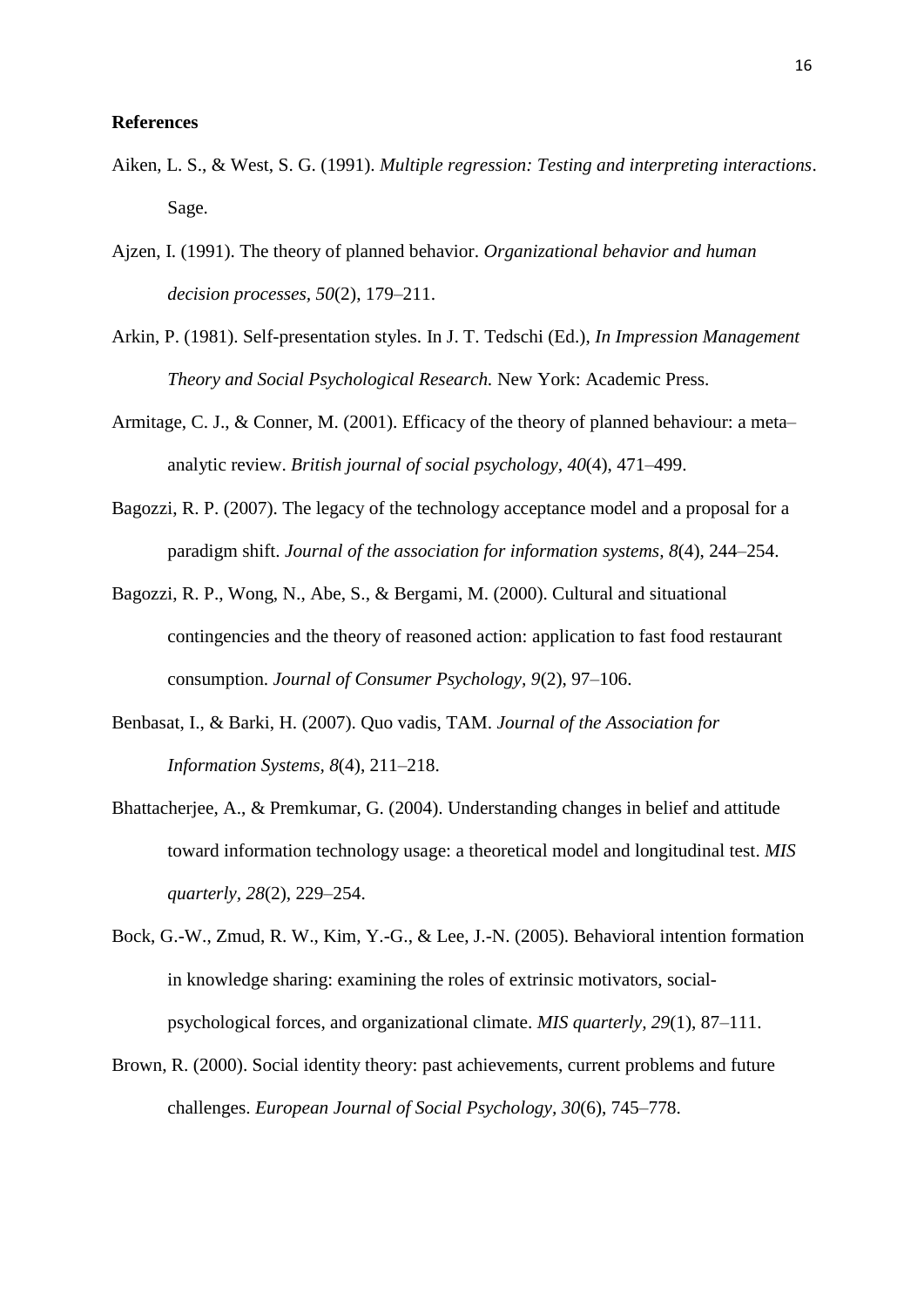#### **References**

- Aiken, L. S., & West, S. G. (1991). *Multiple regression: Testing and interpreting interactions*. Sage.
- Ajzen, I. (1991). The theory of planned behavior. *Organizational behavior and human decision processes, 50*(2), 179–211.
- Arkin, P. (1981). Self-presentation styles. In J. T. Tedschi (Ed.), *In Impression Management Theory and Social Psychological Research.* New York: Academic Press.
- Armitage, C. J., & Conner, M. (2001). Efficacy of the theory of planned behaviour: a meta– analytic review. *British journal of social psychology, 40*(4), 471–499.
- Bagozzi, R. P. (2007). The legacy of the technology acceptance model and a proposal for a paradigm shift. *Journal of the association for information systems, 8*(4), 244–254.
- Bagozzi, R. P., Wong, N., Abe, S., & Bergami, M. (2000). Cultural and situational contingencies and the theory of reasoned action: application to fast food restaurant consumption. *Journal of Consumer Psychology, 9*(2), 97–106.
- Benbasat, I., & Barki, H. (2007). Quo vadis, TAM. *Journal of the Association for Information Systems, 8*(4), 211–218.
- Bhattacherjee, A., & Premkumar, G. (2004). Understanding changes in belief and attitude toward information technology usage: a theoretical model and longitudinal test. *MIS quarterly, 28*(2), 229–254.
- Bock, G.-W., Zmud, R. W., Kim, Y.-G., & Lee, J.-N. (2005). Behavioral intention formation in knowledge sharing: examining the roles of extrinsic motivators, socialpsychological forces, and organizational climate. *MIS quarterly, 29*(1), 87–111.
- Brown, R. (2000). Social identity theory: past achievements, current problems and future challenges. *European Journal of Social Psychology, 30*(6), 745–778.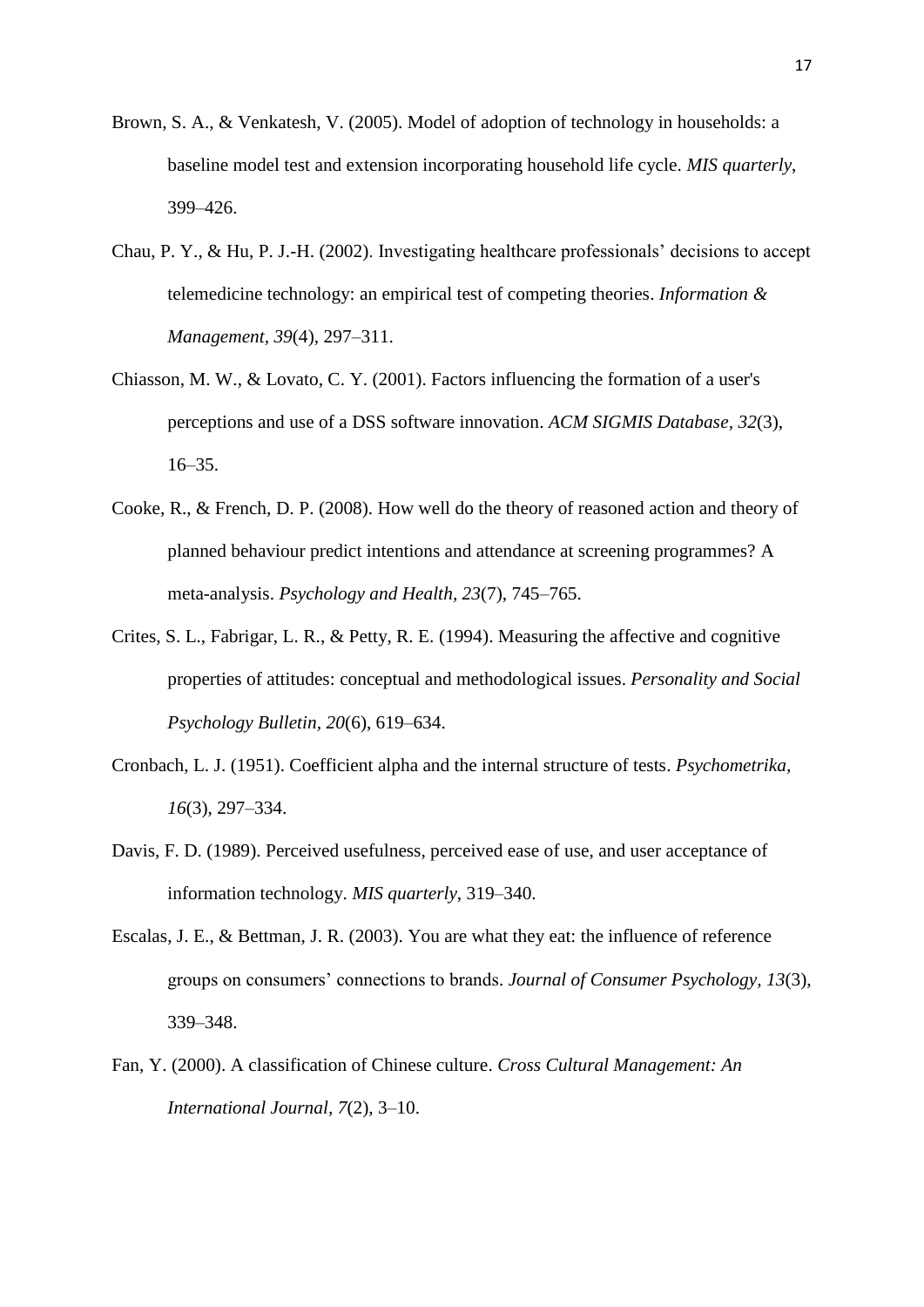- Brown, S. A., & Venkatesh, V. (2005). Model of adoption of technology in households: a baseline model test and extension incorporating household life cycle. *MIS quarterly*, 399–426.
- Chau, P. Y., & Hu, P. J.-H. (2002). Investigating healthcare professionals' decisions to accept telemedicine technology: an empirical test of competing theories. *Information & Management, 39*(4), 297–311.
- Chiasson, M. W., & Lovato, C. Y. (2001). Factors influencing the formation of a user's perceptions and use of a DSS software innovation. *ACM SIGMIS Database, 32*(3), 16–35.
- Cooke, R., & French, D. P. (2008). How well do the theory of reasoned action and theory of planned behaviour predict intentions and attendance at screening programmes? A meta-analysis. *Psychology and Health, 23*(7), 745–765.
- Crites, S. L., Fabrigar, L. R., & Petty, R. E. (1994). Measuring the affective and cognitive properties of attitudes: conceptual and methodological issues. *Personality and Social Psychology Bulletin, 20*(6), 619–634.
- Cronbach, L. J. (1951). Coefficient alpha and the internal structure of tests. *Psychometrika, 16*(3), 297–334.
- Davis, F. D. (1989). Perceived usefulness, perceived ease of use, and user acceptance of information technology. *MIS quarterly*, 319–340.
- Escalas, J. E., & Bettman, J. R. (2003). You are what they eat: the influence of reference groups on consumers' connections to brands. *Journal of Consumer Psychology, 13*(3), 339–348.
- Fan, Y. (2000). A classification of Chinese culture. *Cross Cultural Management: An International Journal, 7*(2), 3–10.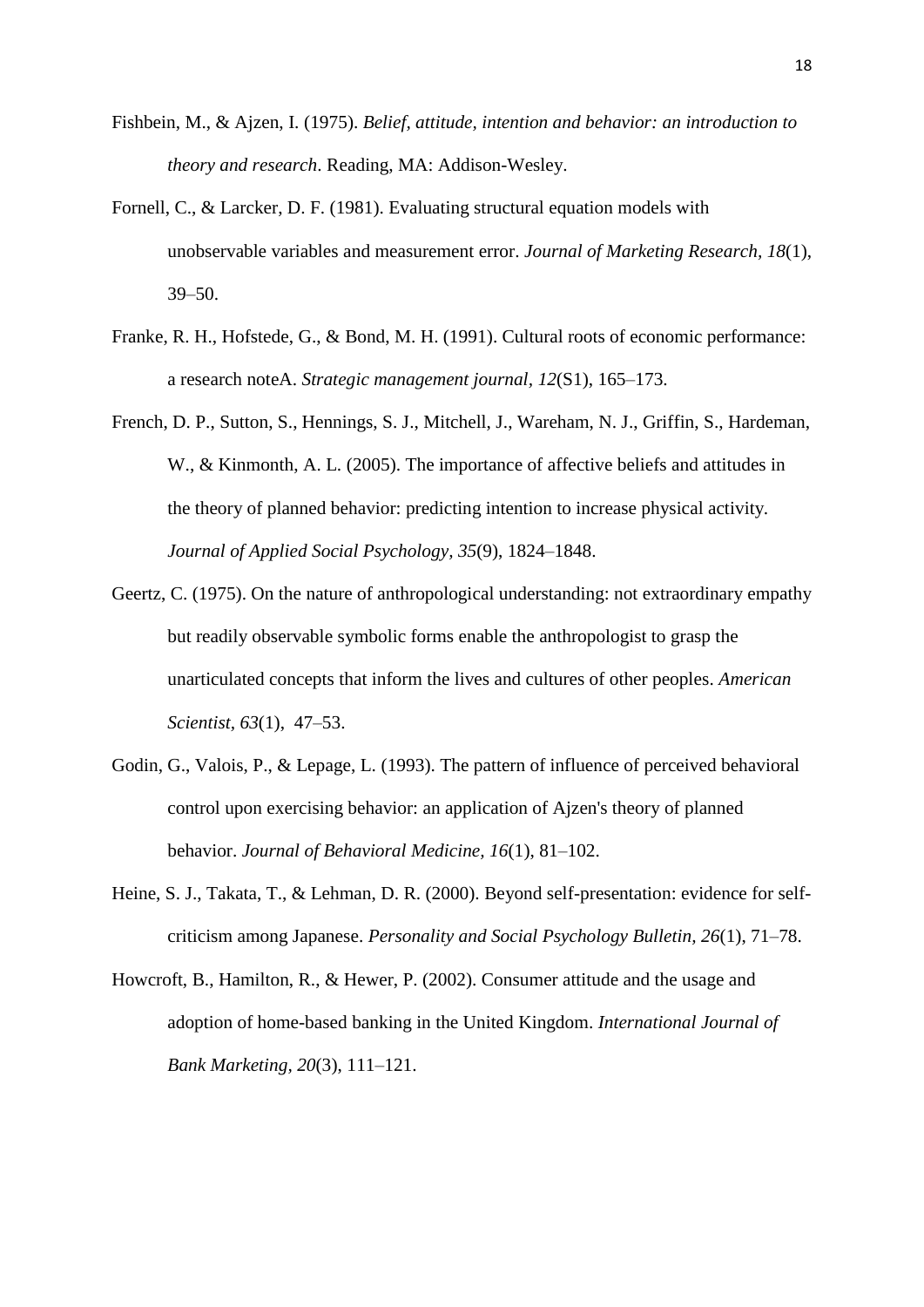- Fishbein, M., & Ajzen, I. (1975). *Belief, attitude, intention and behavior: an introduction to theory and research*. Reading, MA: Addison-Wesley.
- Fornell, C., & Larcker, D. F. (1981). Evaluating structural equation models with unobservable variables and measurement error. *Journal of Marketing Research, 18*(1), 39–50.
- Franke, R. H., Hofstede, G., & Bond, M. H. (1991). Cultural roots of economic performance: a research noteA. *Strategic management journal, 12*(S1), 165–173.
- French, D. P., Sutton, S., Hennings, S. J., Mitchell, J., Wareham, N. J., Griffin, S., Hardeman, W., & Kinmonth, A. L. (2005). The importance of affective beliefs and attitudes in the theory of planned behavior: predicting intention to increase physical activity. *Journal of Applied Social Psychology, 35*(9), 1824–1848.
- Geertz, C. (1975). On the nature of anthropological understanding: not extraordinary empathy but readily observable symbolic forms enable the anthropologist to grasp the unarticulated concepts that inform the lives and cultures of other peoples. *American Scientist, 63*(1), 47–53.
- Godin, G., Valois, P., & Lepage, L. (1993). The pattern of influence of perceived behavioral control upon exercising behavior: an application of Ajzen's theory of planned behavior. *Journal of Behavioral Medicine, 16*(1), 81–102.
- Heine, S. J., Takata, T., & Lehman, D. R. (2000). Beyond self-presentation: evidence for selfcriticism among Japanese. *Personality and Social Psychology Bulletin, 26*(1), 71–78.
- Howcroft, B., Hamilton, R., & Hewer, P. (2002). Consumer attitude and the usage and adoption of home-based banking in the United Kingdom. *International Journal of Bank Marketing, 20*(3), 111–121.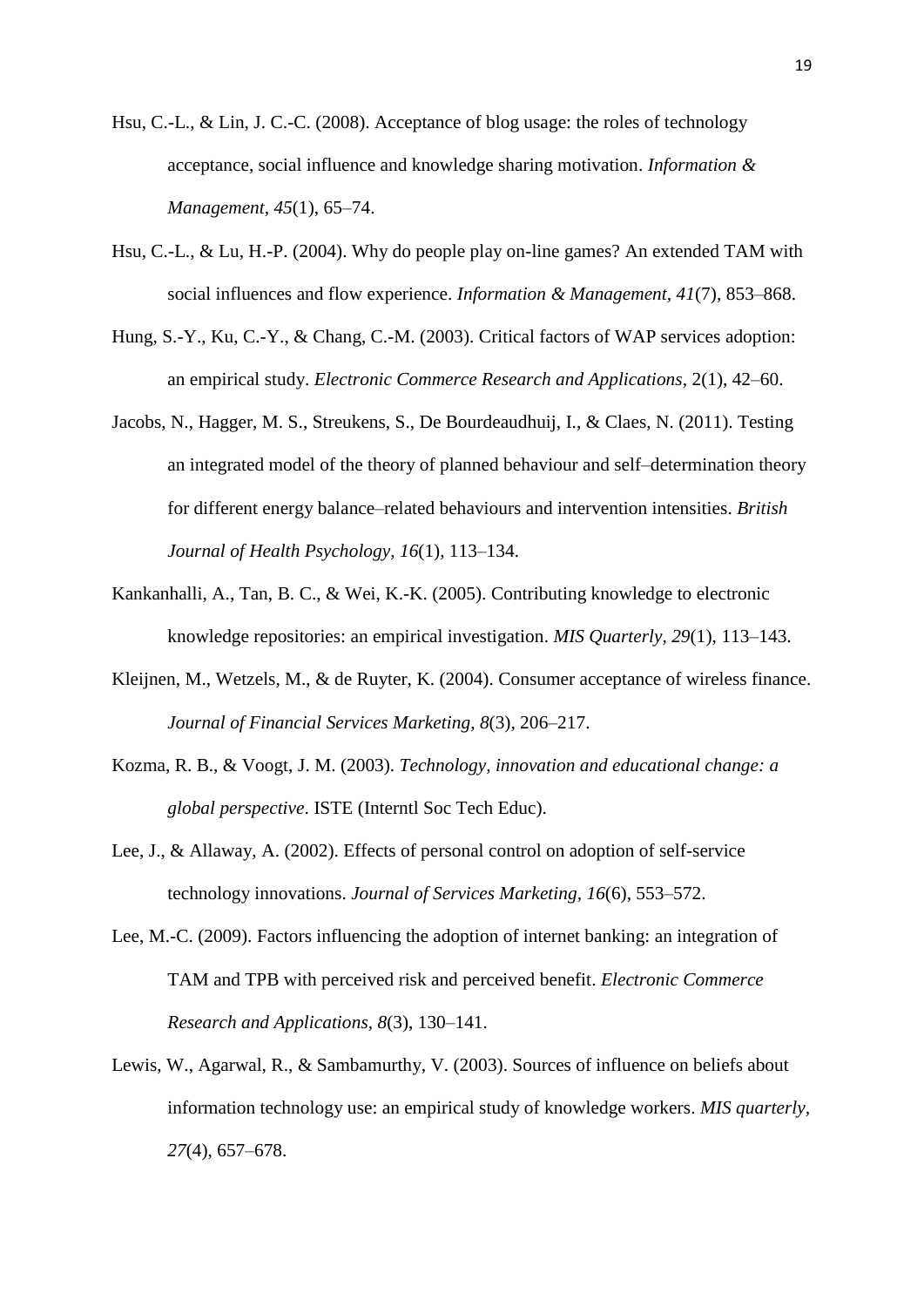- Hsu, C.-L., & Lin, J. C.-C. (2008). Acceptance of blog usage: the roles of technology acceptance, social influence and knowledge sharing motivation. *Information & Management, 45*(1), 65–74.
- Hsu, C.-L., & Lu, H.-P. (2004). Why do people play on-line games? An extended TAM with social influences and flow experience. *Information & Management, 41*(7), 853–868.
- Hung, S.-Y., Ku, C.-Y., & Chang, C.-M. (2003). Critical factors of WAP services adoption: an empirical study. *Electronic Commerce Research and Applications,* 2(1), 42–60.
- Jacobs, N., Hagger, M. S., Streukens, S., De Bourdeaudhuij, I., & Claes, N. (2011). Testing an integrated model of the theory of planned behaviour and self–determination theory for different energy balance–related behaviours and intervention intensities. *British Journal of Health Psychology, 16*(1), 113–134.
- Kankanhalli, A., Tan, B. C., & Wei, K.-K. (2005). Contributing knowledge to electronic knowledge repositories: an empirical investigation. *MIS Quarterly, 29*(1), 113–143.
- Kleijnen, M., Wetzels, M., & de Ruyter, K. (2004). Consumer acceptance of wireless finance. *Journal of Financial Services Marketing, 8*(3), 206–217.
- Kozma, R. B., & Voogt, J. M. (2003). *Technology, innovation and educational change: a global perspective*. ISTE (Interntl Soc Tech Educ).
- Lee, J., & Allaway, A. (2002). Effects of personal control on adoption of self-service technology innovations. *Journal of Services Marketing, 16*(6), 553–572.
- Lee, M.-C. (2009). Factors influencing the adoption of internet banking: an integration of TAM and TPB with perceived risk and perceived benefit. *Electronic Commerce Research and Applications, 8*(3), 130–141.
- Lewis, W., Agarwal, R., & Sambamurthy, V. (2003). Sources of influence on beliefs about information technology use: an empirical study of knowledge workers. *MIS quarterly, 27*(4), 657–678.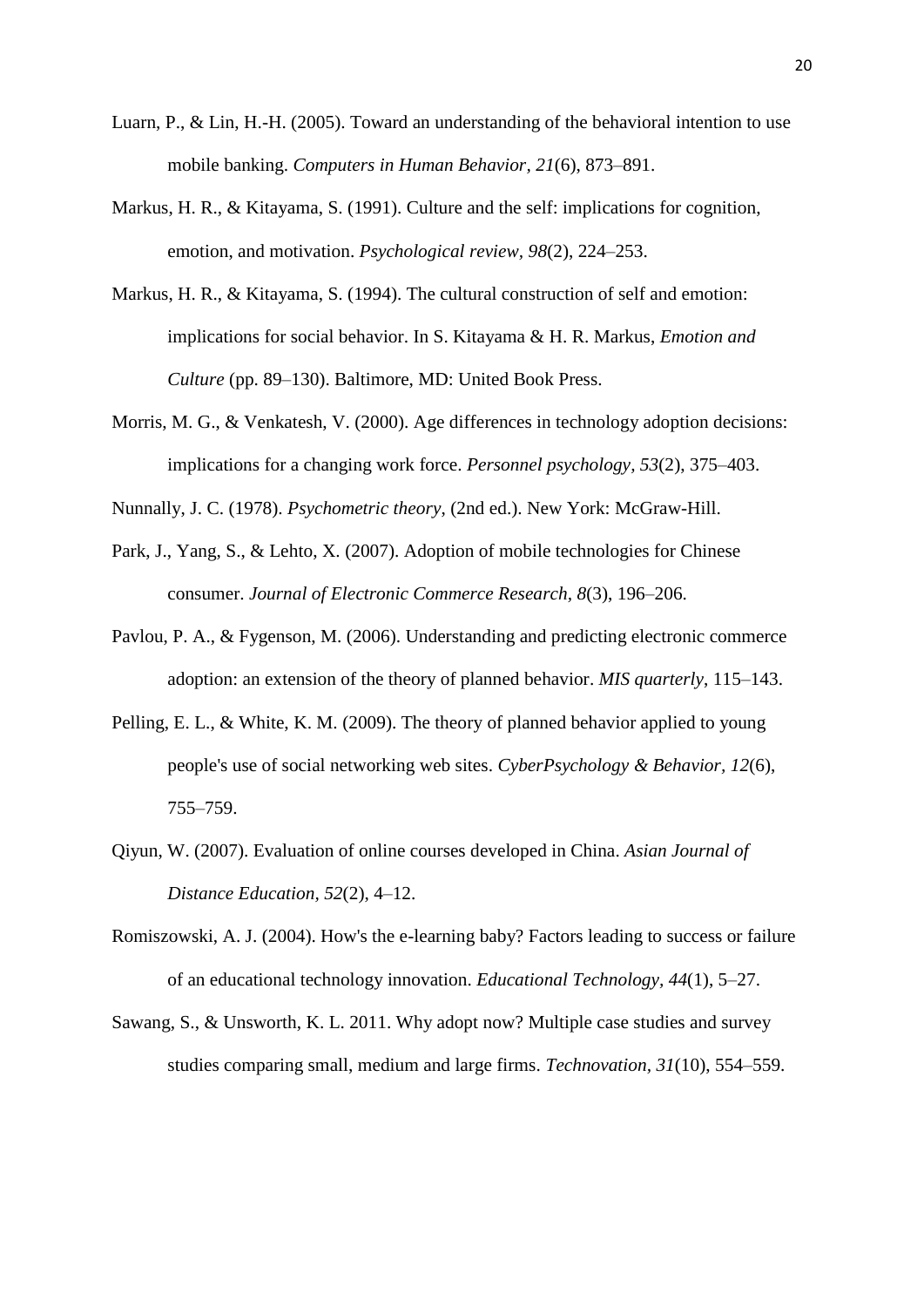- Luarn, P., & Lin, H.-H. (2005). Toward an understanding of the behavioral intention to use mobile banking. *Computers in Human Behavior, 21*(6), 873–891.
- Markus, H. R., & Kitayama, S. (1991). Culture and the self: implications for cognition, emotion, and motivation. *Psychological review, 98*(2), 224–253.
- Markus, H. R., & Kitayama, S. (1994). The cultural construction of self and emotion: implications for social behavior. In S. Kitayama & H. R. Markus, *Emotion and Culture* (pp. 89–130). Baltimore, MD: United Book Press.
- Morris, M. G., & Venkatesh, V. (2000). Age differences in technology adoption decisions: implications for a changing work force. *Personnel psychology, 53*(2), 375–403.
- Nunnally, J. C. (1978). *Psychometric theory*, (2nd ed.). New York: McGraw-Hill.
- Park, J., Yang, S., & Lehto, X. (2007). Adoption of mobile technologies for Chinese consumer. *Journal of Electronic Commerce Research, 8*(3), 196–206.
- Pavlou, P. A., & Fygenson, M. (2006). Understanding and predicting electronic commerce adoption: an extension of the theory of planned behavior. *MIS quarterly*, 115–143.
- Pelling, E. L., & White, K. M. (2009). The theory of planned behavior applied to young people's use of social networking web sites. *CyberPsychology & Behavior, 12*(6), 755–759.
- Qiyun, W. (2007). Evaluation of online courses developed in China. *Asian Journal of Distance Education, 52*(2), 4–12.
- Romiszowski, A. J. (2004). How's the e-learning baby? Factors leading to success or failure of an educational technology innovation. *Educational Technology, 44*(1), 5–27.
- Sawang, S., & Unsworth, K. L. 2011. Why adopt now? Multiple case studies and survey studies comparing small, medium and large firms. *Technovation, 31*(10), 554–559.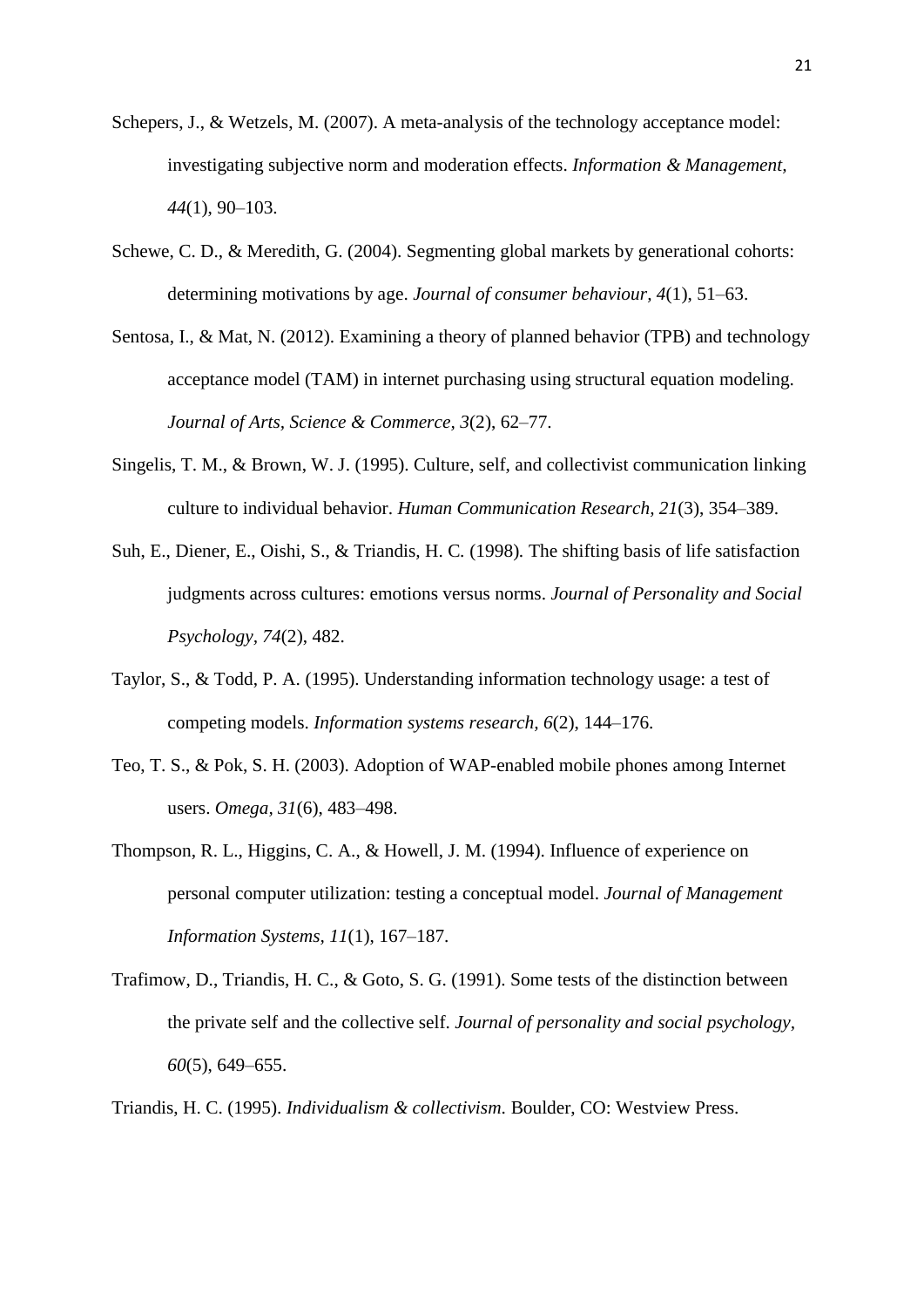- Schepers, J., & Wetzels, M. (2007). A meta-analysis of the technology acceptance model: investigating subjective norm and moderation effects. *Information & Management, 44*(1), 90–103.
- Schewe, C. D., & Meredith, G. (2004). Segmenting global markets by generational cohorts: determining motivations by age. *Journal of consumer behaviour, 4*(1), 51–63.
- Sentosa, I., & Mat, N. (2012). Examining a theory of planned behavior (TPB) and technology acceptance model (TAM) in internet purchasing using structural equation modeling. *Journal of Arts, Science & Commerce, 3*(2), 62–77.
- Singelis, T. M., & Brown, W. J. (1995). Culture, self, and collectivist communication linking culture to individual behavior. *Human Communication Research, 21*(3), 354–389.
- Suh, E., Diener, E., Oishi, S., & Triandis*,* H. C*.* (1998)*.* The shifting basis of life satisfaction judgments across cultures: emotions versus norms. *Journal of Personality and Social Psychology, 74*(2), 482.
- Taylor, S., & Todd, P. A. (1995). Understanding information technology usage: a test of competing models. *Information systems research, 6*(2), 144–176.
- Teo, T. S., & Pok, S. H. (2003). Adoption of WAP-enabled mobile phones among Internet users. *Omega, 31*(6), 483–498.
- Thompson, R. L., Higgins, C. A., & Howell, J. M. (1994). Influence of experience on personal computer utilization: testing a conceptual model. *Journal of Management Information Systems, 11*(1), 167–187.
- Trafimow, D., Triandis, H. C., & Goto, S. G. (1991). Some tests of the distinction between the private self and the collective self. *Journal of personality and social psychology, 60*(5), 649–655.

Triandis, H. C. (1995). *Individualism & collectivism.* Boulder, CO: Westview Press.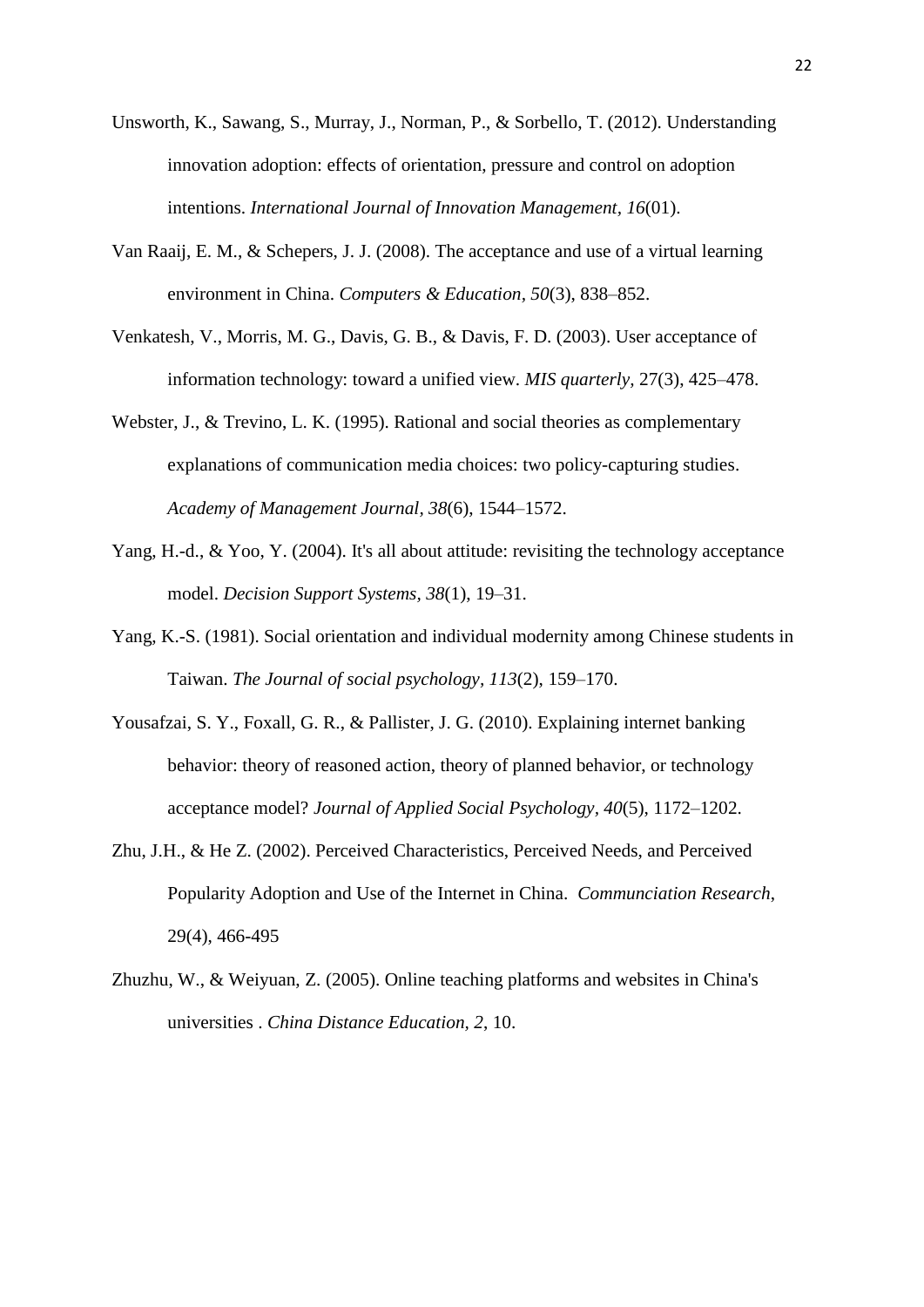- Unsworth, K., Sawang, S., Murray, J., Norman, P., & Sorbello, T. (2012). Understanding innovation adoption: effects of orientation, pressure and control on adoption intentions. *International Journal of Innovation Management, 16*(01).
- Van Raaij, E. M., & Schepers, J. J. (2008). The acceptance and use of a virtual learning environment in China. *Computers & Education, 50*(3), 838–852.
- Venkatesh, V., Morris, M. G., Davis, G. B., & Davis, F. D. (2003). User acceptance of information technology: toward a unified view. *MIS quarterly,* 27(3), 425–478.
- Webster, J., & Trevino, L. K. (1995). Rational and social theories as complementary explanations of communication media choices: two policy-capturing studies. *Academy of Management Journal, 38*(6), 1544–1572.
- Yang, H.-d., & Yoo, Y. (2004). It's all about attitude: revisiting the technology acceptance model. *Decision Support Systems, 38*(1), 19–31.
- Yang, K.-S. (1981). Social orientation and individual modernity among Chinese students in Taiwan. *The Journal of social psychology, 113*(2), 159–170.
- Yousafzai, S. Y., Foxall, G. R., & Pallister, J. G. (2010). Explaining internet banking behavior: theory of reasoned action, theory of planned behavior, or technology acceptance model? *Journal of Applied Social Psychology, 40*(5), 1172–1202.
- Zhu, J.H., & He Z. (2002). Perceived Characteristics, Perceived Needs, and Perceived Popularity Adoption and Use of the Internet in China. *Communciation Research*, 29(4), 466-495
- Zhuzhu, W., & Weiyuan, Z. (2005). Online teaching platforms and websites in China's universities . *China Distance Education, 2*, 10.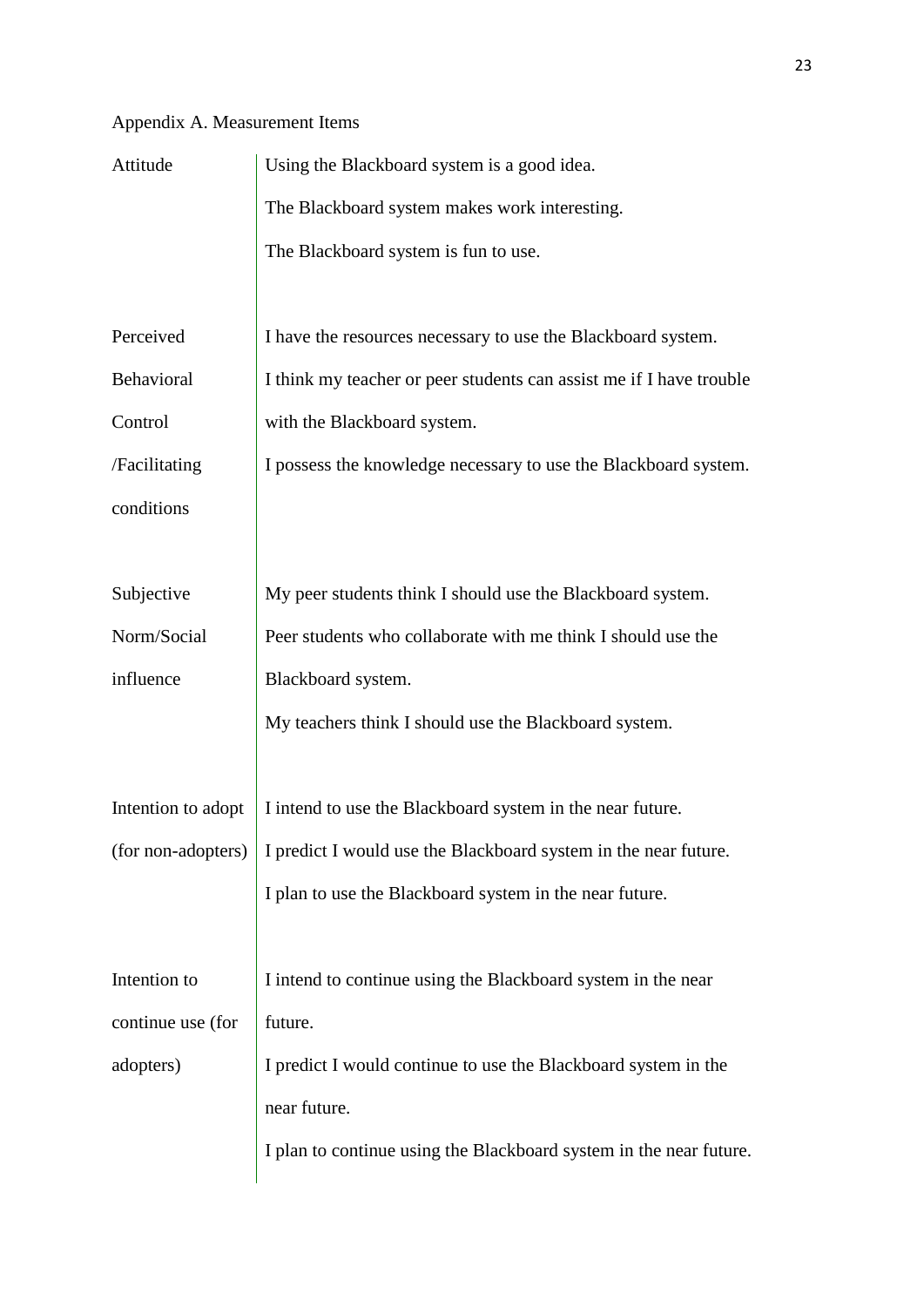## Appendix A. Measurement Items

| Attitude           | Using the Blackboard system is a good idea.                         |  |  |  |  |
|--------------------|---------------------------------------------------------------------|--|--|--|--|
|                    | The Blackboard system makes work interesting.                       |  |  |  |  |
|                    | The Blackboard system is fun to use.                                |  |  |  |  |
|                    |                                                                     |  |  |  |  |
| Perceived          | I have the resources necessary to use the Blackboard system.        |  |  |  |  |
| Behavioral         | I think my teacher or peer students can assist me if I have trouble |  |  |  |  |
| Control            | with the Blackboard system.                                         |  |  |  |  |
| /Facilitating      | I possess the knowledge necessary to use the Blackboard system.     |  |  |  |  |
| conditions         |                                                                     |  |  |  |  |
|                    |                                                                     |  |  |  |  |
| Subjective         | My peer students think I should use the Blackboard system.          |  |  |  |  |
| Norm/Social        | Peer students who collaborate with me think I should use the        |  |  |  |  |
| influence          | Blackboard system.                                                  |  |  |  |  |
|                    | My teachers think I should use the Blackboard system.               |  |  |  |  |
|                    |                                                                     |  |  |  |  |
| Intention to adopt | I intend to use the Blackboard system in the near future.           |  |  |  |  |
| (for non-adopters) | I predict I would use the Blackboard system in the near future.     |  |  |  |  |
|                    | I plan to use the Blackboard system in the near future.             |  |  |  |  |
|                    |                                                                     |  |  |  |  |
| Intention to       | I intend to continue using the Blackboard system in the near        |  |  |  |  |
| continue use (for  | future.                                                             |  |  |  |  |
| adopters)          | I predict I would continue to use the Blackboard system in the      |  |  |  |  |
|                    | near future.                                                        |  |  |  |  |
|                    | I plan to continue using the Blackboard system in the near future.  |  |  |  |  |
|                    |                                                                     |  |  |  |  |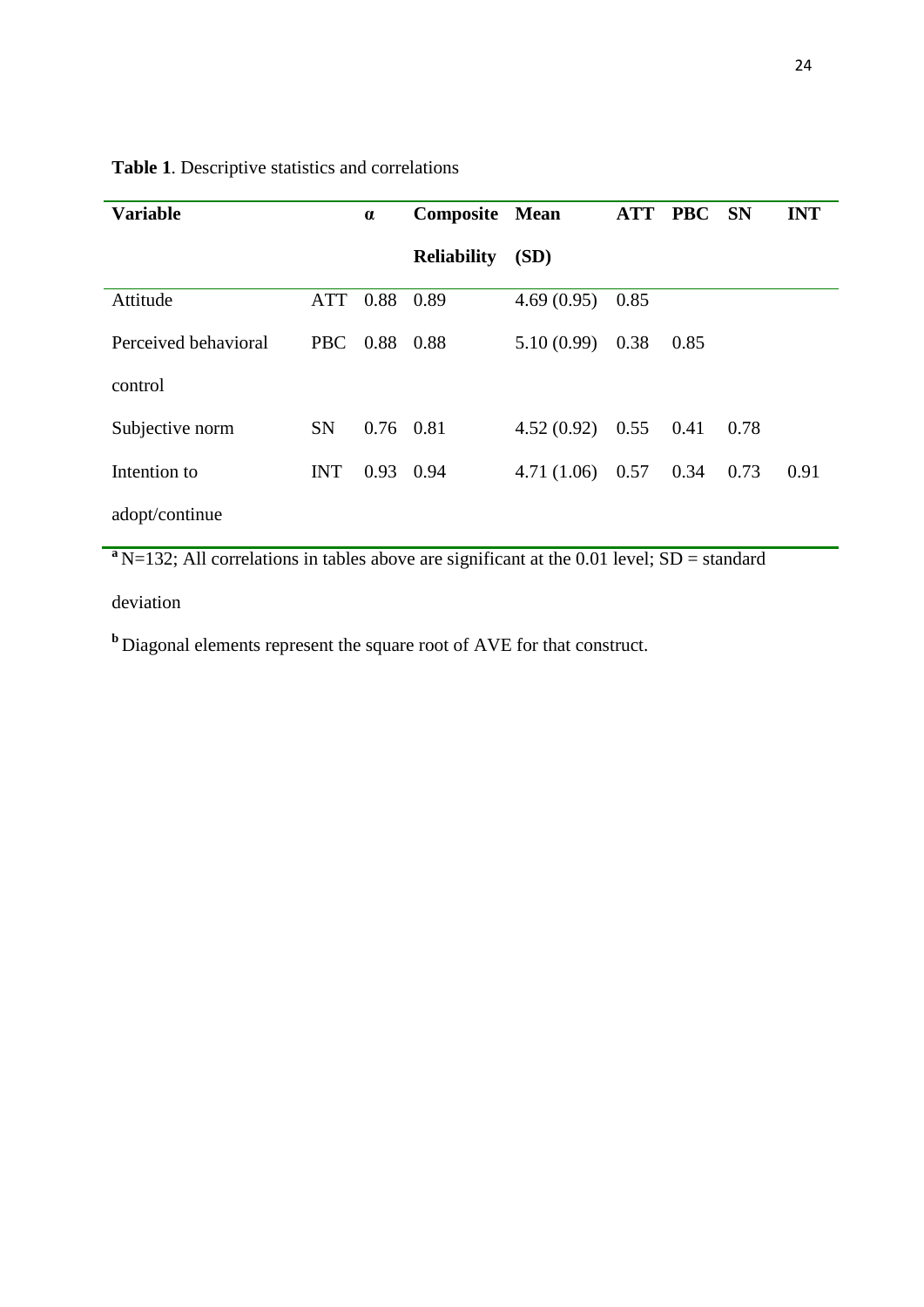| Vorioblo                                                |  | Composito Moon |  |  |  |  |  |
|---------------------------------------------------------|--|----------------|--|--|--|--|--|
| <b>Table 1.</b> Descriptive statistics and correlations |  |                |  |  |  |  |  |

| <b>Variable</b>      |            | $\alpha$    | <b>Composite Mean</b> |                   | <b>ATT</b> | <b>PBC</b> | <b>SN</b> | <b>INT</b> |
|----------------------|------------|-------------|-----------------------|-------------------|------------|------------|-----------|------------|
|                      |            |             | <b>Reliability</b>    | (SD)              |            |            |           |            |
| Attitude             | ATT        | 0.88        | 0.89                  | 4.69(0.95)        | 0.85       |            |           |            |
| Perceived behavioral | PBC        | 0.88        | 0.88                  | 5.10(0.99)        | 0.38       | 0.85       |           |            |
| control              |            |             |                       |                   |            |            |           |            |
| Subjective norm      | <b>SN</b>  | $0.76$ 0.81 |                       | $4.52(0.92)$ 0.55 |            | 0.41       | 0.78      |            |
| Intention to         | <b>INT</b> | 0.93        | 0.94                  | 4.71(1.06)        | 0.57       | 0.34       | 0.73      | 0.91       |
| adopt/continue       |            |             |                       |                   |            |            |           |            |

 $a<sub>N=132</sub>$ ; All correlations in tables above are significant at the 0.01 level; SD = standard

deviation

**b** Diagonal elements represent the square root of AVE for that construct.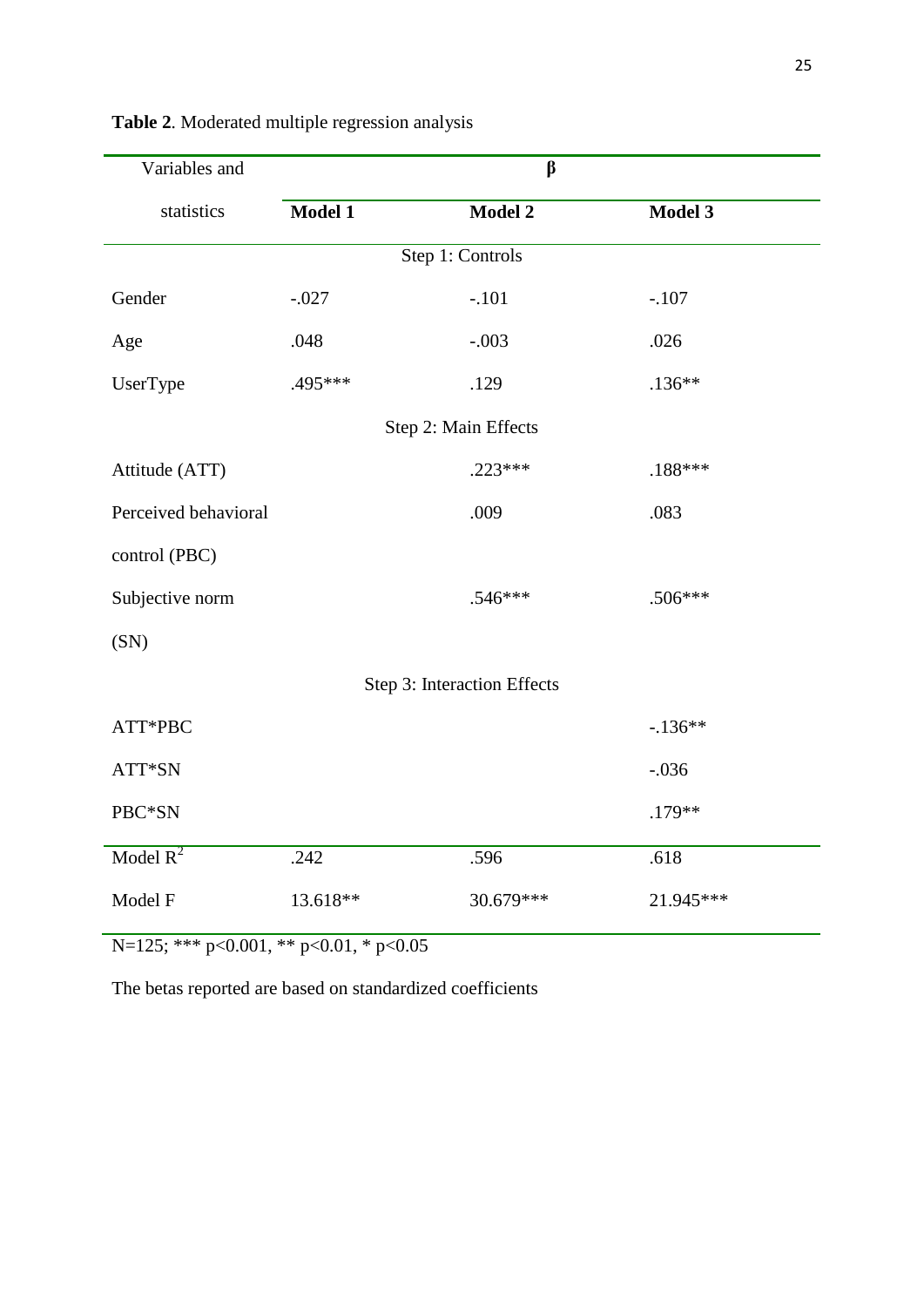| Variables and        | $\beta$  |                             |           |  |  |  |  |
|----------------------|----------|-----------------------------|-----------|--|--|--|--|
| statistics           | Model 1  | Model 2                     | Model 3   |  |  |  |  |
| Step 1: Controls     |          |                             |           |  |  |  |  |
| Gender               | $-.027$  | $-.101$                     | $-.107$   |  |  |  |  |
| Age                  | .048     | $-.003$                     | .026      |  |  |  |  |
| UserType             | .495 *** | .129                        | $.136**$  |  |  |  |  |
| Step 2: Main Effects |          |                             |           |  |  |  |  |
| Attitude (ATT)       |          | $.223***$                   | .188***   |  |  |  |  |
| Perceived behavioral |          | .009                        | .083      |  |  |  |  |
| control (PBC)        |          |                             |           |  |  |  |  |
| Subjective norm      |          | $.546***$                   | $.506***$ |  |  |  |  |
| (SN)                 |          |                             |           |  |  |  |  |
|                      |          | Step 3: Interaction Effects |           |  |  |  |  |
| ATT*PBC              |          |                             | $-136**$  |  |  |  |  |
| ATT*SN               |          |                             | $-.036$   |  |  |  |  |
| PBC*SN               |          |                             | .179**    |  |  |  |  |
| Model $R^2$          | .242     | .596                        | .618      |  |  |  |  |
| Model F              | 13.618** | 30.679***                   | 21.945*** |  |  |  |  |

**Table 2**. Moderated multiple regression analysis

N=125; \*\*\* p<0.001, \*\* p<0.01, \* p<0.05

The betas reported are based on standardized coefficients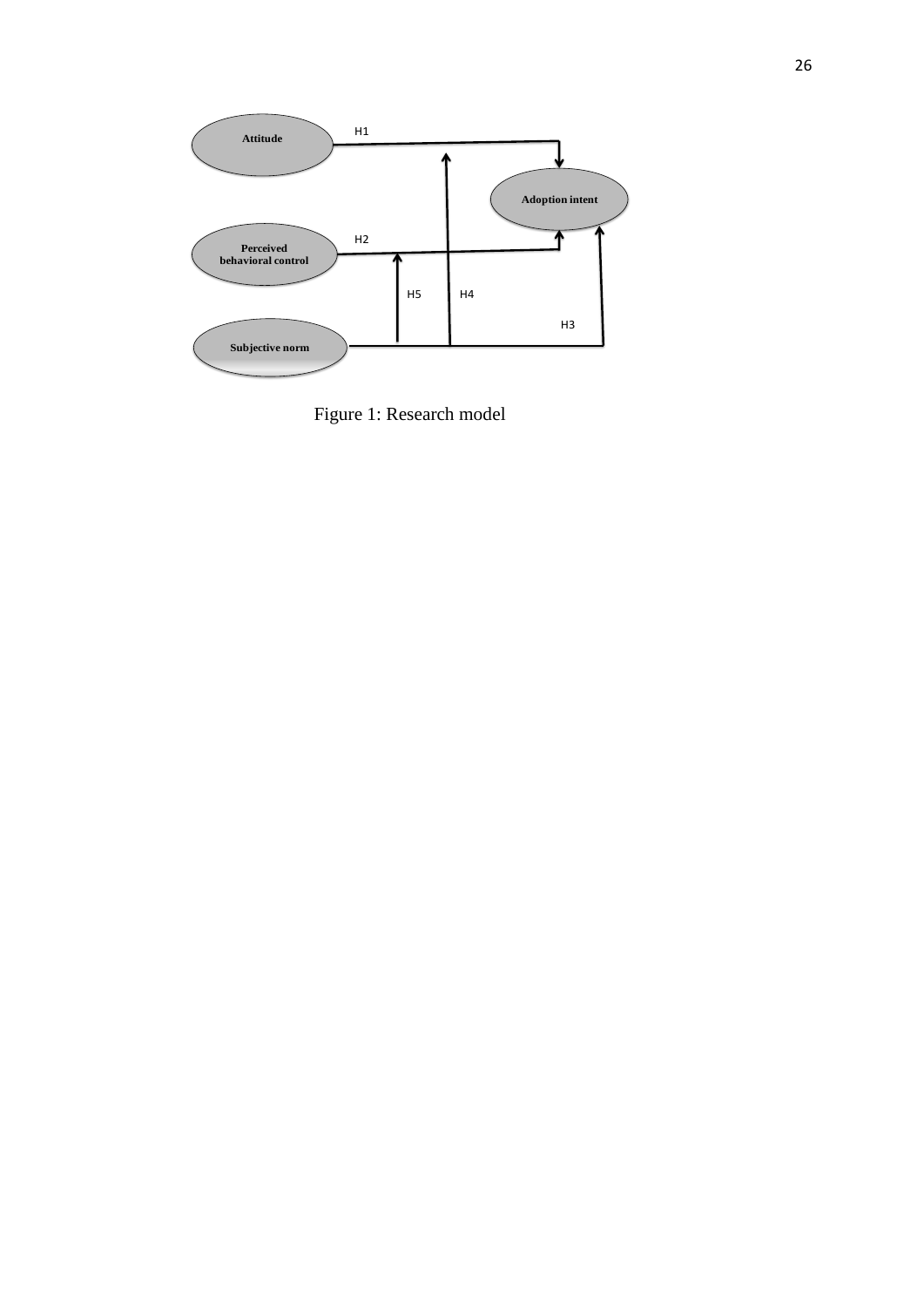

Figure 1: Research model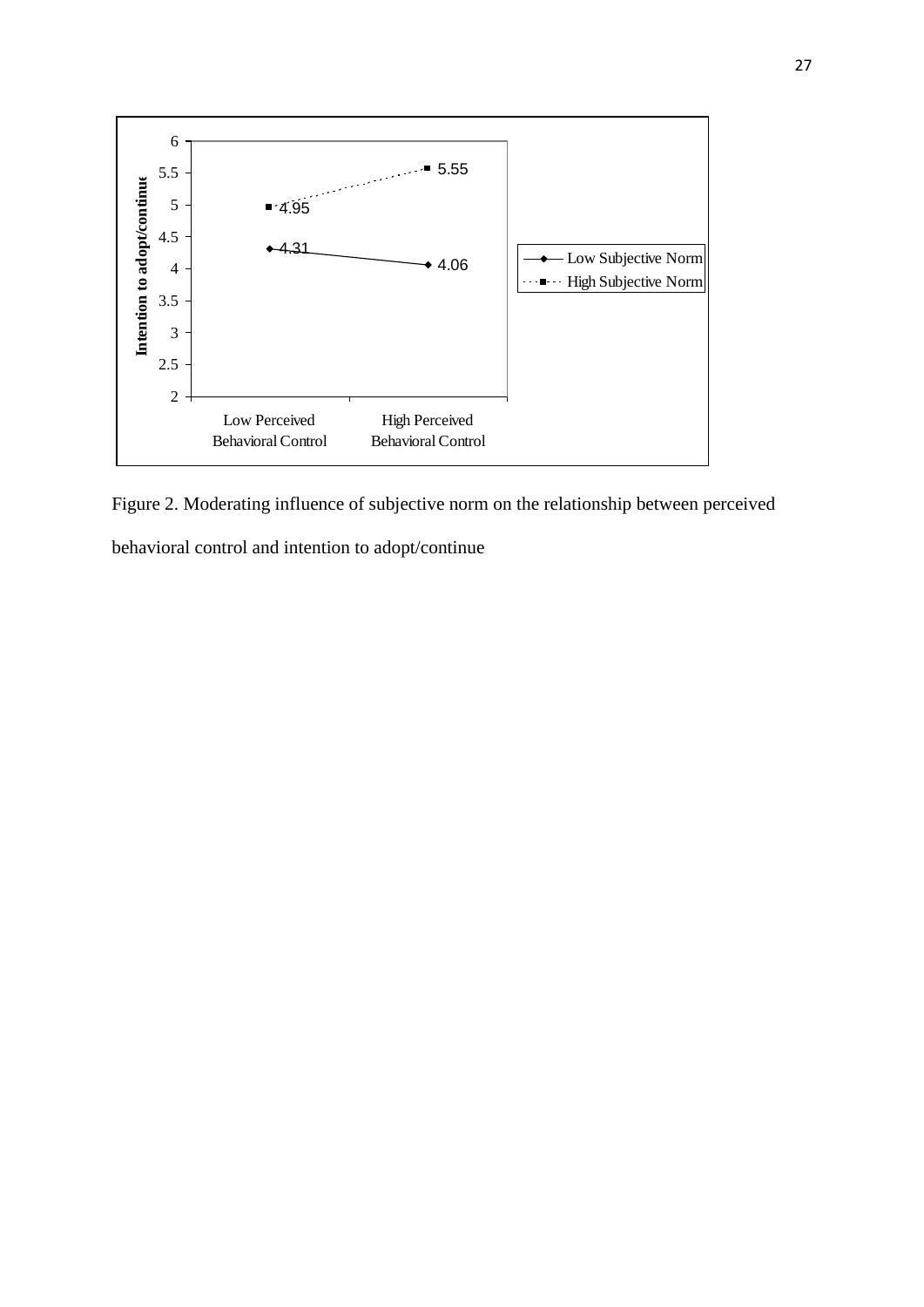

Figure 2. Moderating influence of subjective norm on the relationship between perceived behavioral control and intention to adopt/continue